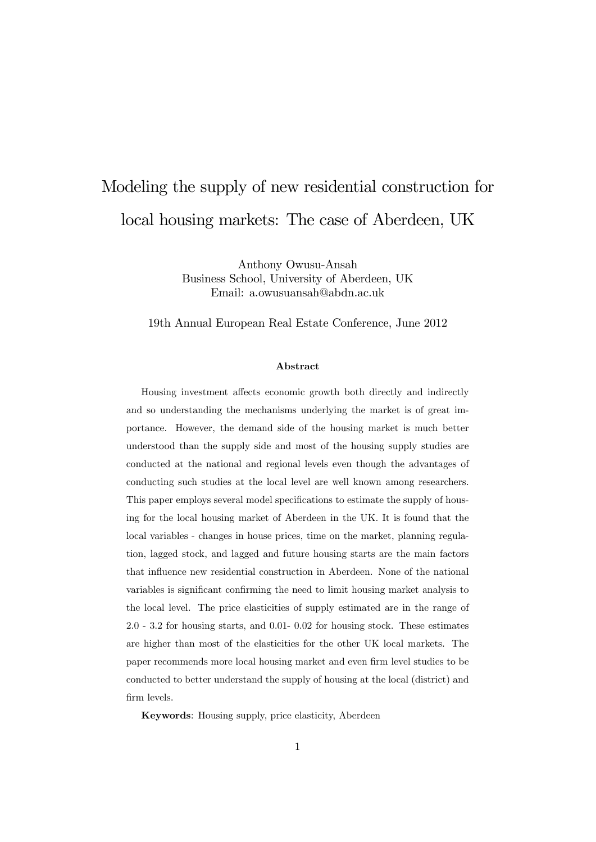# Modeling the supply of new residential construction for local housing markets: The case of Aberdeen, UK

Anthony Owusu-Ansah Business School, University of Aberdeen, UK Email: a.owusuansah@abdn.ac.uk

19th Annual European Real Estate Conference, June 2012

#### Abstract

Housing investment affects economic growth both directly and indirectly and so understanding the mechanisms underlying the market is of great importance. However, the demand side of the housing market is much better understood than the supply side and most of the housing supply studies are conducted at the national and regional levels even though the advantages of conducting such studies at the local level are well known among researchers. This paper employs several model specifications to estimate the supply of housing for the local housing market of Aberdeen in the UK. It is found that the local variables - changes in house prices, time on the market, planning regulation, lagged stock, and lagged and future housing starts are the main factors that influence new residential construction in Aberdeen. None of the national variables is significant confirming the need to limit housing market analysis to the local level. The price elasticities of supply estimated are in the range of 2.0 - 3.2 for housing starts, and 0.01- 0.02 for housing stock. These estimates are higher than most of the elasticities for the other UK local markets. The paper recommends more local housing market and even firm level studies to be conducted to better understand the supply of housing at the local (district) and firm levels.

Keywords: Housing supply, price elasticity, Aberdeen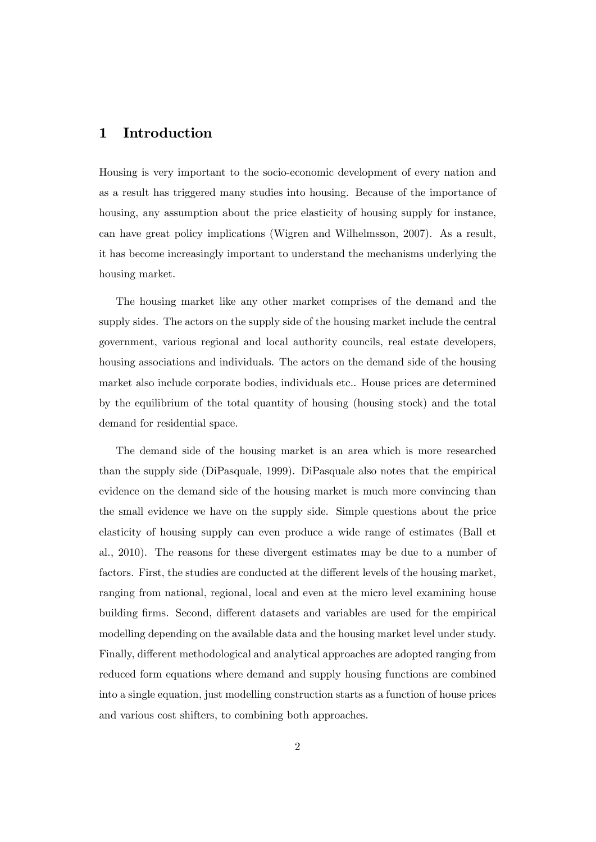## 1 Introduction

Housing is very important to the socio-economic development of every nation and as a result has triggered many studies into housing. Because of the importance of housing, any assumption about the price elasticity of housing supply for instance, can have great policy implications (Wigren and Wilhelmsson, 2007). As a result, it has become increasingly important to understand the mechanisms underlying the housing market.

The housing market like any other market comprises of the demand and the supply sides. The actors on the supply side of the housing market include the central government, various regional and local authority councils, real estate developers, housing associations and individuals. The actors on the demand side of the housing market also include corporate bodies, individuals etc.. House prices are determined by the equilibrium of the total quantity of housing (housing stock) and the total demand for residential space.

The demand side of the housing market is an area which is more researched than the supply side (DiPasquale, 1999). DiPasquale also notes that the empirical evidence on the demand side of the housing market is much more convincing than the small evidence we have on the supply side. Simple questions about the price elasticity of housing supply can even produce a wide range of estimates (Ball et al., 2010). The reasons for these divergent estimates may be due to a number of factors. First, the studies are conducted at the different levels of the housing market, ranging from national, regional, local and even at the micro level examining house building firms. Second, different datasets and variables are used for the empirical modelling depending on the available data and the housing market level under study. Finally, different methodological and analytical approaches are adopted ranging from reduced form equations where demand and supply housing functions are combined into a single equation, just modelling construction starts as a function of house prices and various cost shifters, to combining both approaches.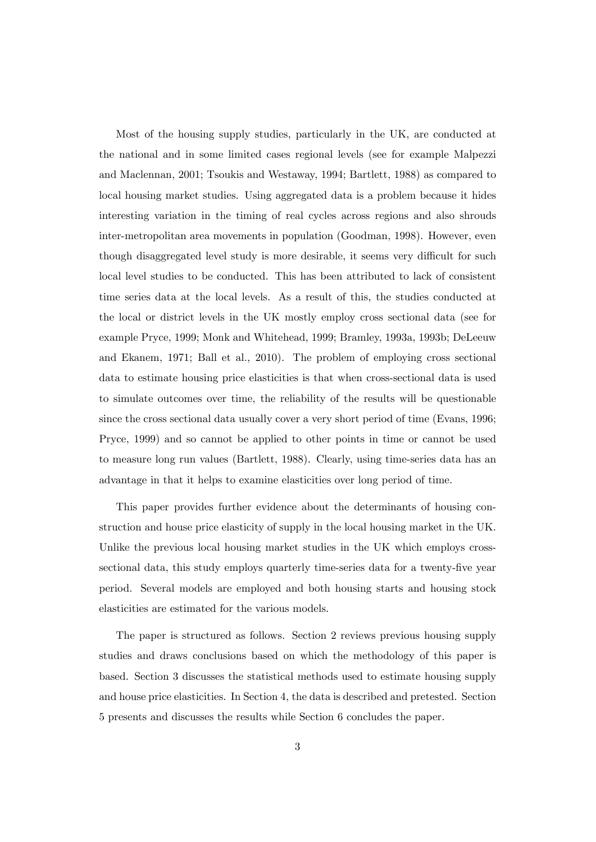Most of the housing supply studies, particularly in the UK, are conducted at the national and in some limited cases regional levels (see for example Malpezzi and Maclennan, 2001; Tsoukis and Westaway, 1994; Bartlett, 1988) as compared to local housing market studies. Using aggregated data is a problem because it hides interesting variation in the timing of real cycles across regions and also shrouds inter-metropolitan area movements in population (Goodman, 1998). However, even though disaggregated level study is more desirable, it seems very difficult for such local level studies to be conducted. This has been attributed to lack of consistent time series data at the local levels. As a result of this, the studies conducted at the local or district levels in the UK mostly employ cross sectional data (see for example Pryce, 1999; Monk and Whitehead, 1999; Bramley, 1993a, 1993b; DeLeeuw and Ekanem, 1971; Ball et al., 2010). The problem of employing cross sectional data to estimate housing price elasticities is that when cross-sectional data is used to simulate outcomes over time, the reliability of the results will be questionable since the cross sectional data usually cover a very short period of time (Evans, 1996; Pryce, 1999) and so cannot be applied to other points in time or cannot be used to measure long run values (Bartlett, 1988). Clearly, using time-series data has an advantage in that it helps to examine elasticities over long period of time.

This paper provides further evidence about the determinants of housing construction and house price elasticity of supply in the local housing market in the UK. Unlike the previous local housing market studies in the UK which employs crosssectional data, this study employs quarterly time-series data for a twenty-five year period. Several models are employed and both housing starts and housing stock elasticities are estimated for the various models.

The paper is structured as follows. Section 2 reviews previous housing supply studies and draws conclusions based on which the methodology of this paper is based. Section 3 discusses the statistical methods used to estimate housing supply and house price elasticities. In Section 4, the data is described and pretested. Section 5 presents and discusses the results while Section 6 concludes the paper.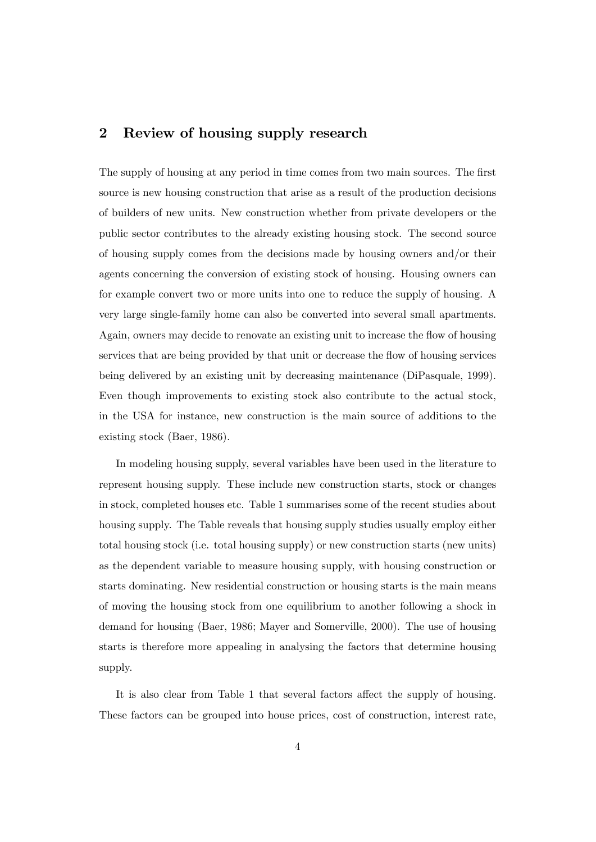# 2 Review of housing supply research

The supply of housing at any period in time comes from two main sources. The first source is new housing construction that arise as a result of the production decisions of builders of new units. New construction whether from private developers or the public sector contributes to the already existing housing stock. The second source of housing supply comes from the decisions made by housing owners and/or their agents concerning the conversion of existing stock of housing. Housing owners can for example convert two or more units into one to reduce the supply of housing. A very large single-family home can also be converted into several small apartments. Again, owners may decide to renovate an existing unit to increase the flow of housing services that are being provided by that unit or decrease the flow of housing services being delivered by an existing unit by decreasing maintenance (DiPasquale, 1999). Even though improvements to existing stock also contribute to the actual stock, in the USA for instance, new construction is the main source of additions to the existing stock (Baer, 1986).

In modeling housing supply, several variables have been used in the literature to represent housing supply. These include new construction starts, stock or changes in stock, completed houses etc. Table 1 summarises some of the recent studies about housing supply. The Table reveals that housing supply studies usually employ either total housing stock (i.e. total housing supply) or new construction starts (new units) as the dependent variable to measure housing supply, with housing construction or starts dominating. New residential construction or housing starts is the main means of moving the housing stock from one equilibrium to another following a shock in demand for housing (Baer, 1986; Mayer and Somerville, 2000). The use of housing starts is therefore more appealing in analysing the factors that determine housing supply.

It is also clear from Table 1 that several factors affect the supply of housing. These factors can be grouped into house prices, cost of construction, interest rate,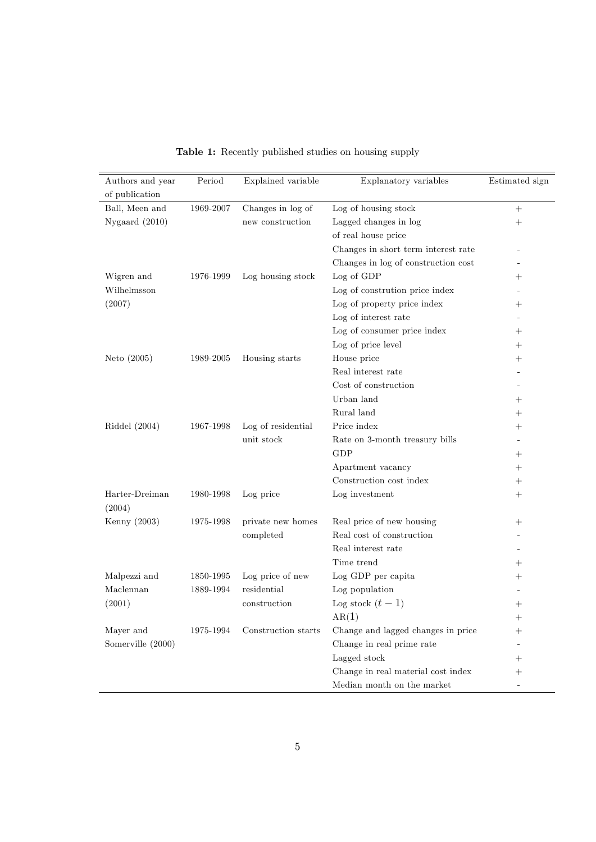| Authors and year         | Period    | Explained variable  | Explanatory variables               | Estimated sign                   |
|--------------------------|-----------|---------------------|-------------------------------------|----------------------------------|
| of publication           |           |                     |                                     |                                  |
| Ball, Meen and           | 1969-2007 | Changes in log of   | Log of housing stock                | $^{+}$                           |
| Nygaard $(2010)$         |           | new construction    | Lagged changes in log               | $^{+}$                           |
|                          |           |                     | of real house price                 |                                  |
|                          |           |                     | Changes in short term interest rate |                                  |
|                          |           |                     | Changes in log of construction cost |                                  |
| Wigren and               | 1976-1999 | Log housing stock   | Log of GDP                          | $^{+}$                           |
| Wilhelmsson              |           |                     | Log of constrution price index      |                                  |
| (2007)                   |           |                     | Log of property price index         | $\hspace{0.1mm} +$               |
|                          |           |                     | Log of interest rate                |                                  |
|                          |           |                     | Log of consumer price index         | $^+$                             |
|                          |           |                     | Log of price level                  | $^+$                             |
| Neto (2005)              | 1989-2005 | Housing starts      | House price                         | $^{+}$                           |
|                          |           |                     | Real interest rate                  |                                  |
|                          |           |                     | Cost of construction                |                                  |
|                          |           |                     | Urban land                          | $\hspace{0.1mm} +\hspace{0.1mm}$ |
|                          |           |                     | Rural land                          | $\hspace{0.1mm} +\hspace{0.1mm}$ |
| Riddel (2004)            | 1967-1998 | Log of residential  | Price index                         | $^{+}$                           |
|                          |           | unit stock          | Rate on 3-month treasury bills      |                                  |
|                          |           |                     | <b>GDP</b>                          | $^{+}$                           |
|                          |           |                     | Apartment vacancy                   | $^{+}$                           |
|                          |           |                     | Construction cost index             | $^+$                             |
| Harter-Dreiman<br>(2004) | 1980-1998 | Log price           | Log investment                      | $^{+}$                           |
| Kenny (2003)             | 1975-1998 | private new homes   | Real price of new housing           | $^{+}$                           |
|                          |           | completed           | Real cost of construction           |                                  |
|                          |           |                     | Real interest rate                  |                                  |
|                          |           |                     | Time trend                          | $\hspace{0.1mm} +$               |
| Malpezzi and             | 1850-1995 | Log price of new    | Log GDP per capita                  | $^{+}$                           |
| Maclennan                | 1889-1994 | residential         | Log population                      |                                  |
| (2001)                   |           | construction        | Log stock $(t-1)$                   | $^{+}$                           |
|                          |           |                     | AR(1)                               | $\hspace{0.1mm} +$               |
| Mayer and                | 1975-1994 | Construction starts | Change and lagged changes in price  | $^+$                             |
| Somerville (2000)        |           |                     | Change in real prime rate           |                                  |
|                          |           |                     | Lagged stock                        | $^+$                             |
|                          |           |                     | Change in real material cost index  |                                  |
|                          |           |                     | Median month on the market          |                                  |

Table 1: Recently published studies on housing supply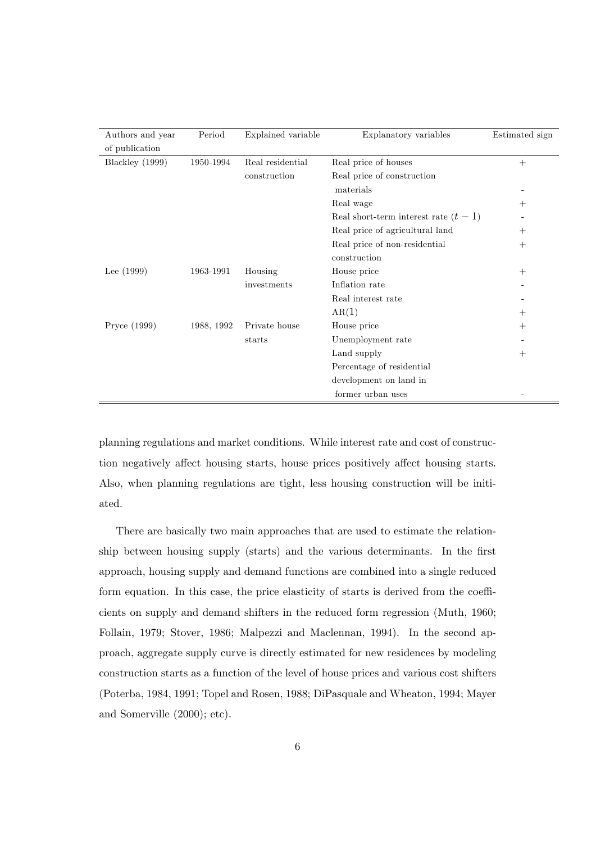| Authors and year | Period     | Explained variable | Explanatory variables                 | Estimated sign |
|------------------|------------|--------------------|---------------------------------------|----------------|
| of publication   |            |                    |                                       |                |
| Blackley (1999)  | 1950-1994  | Real residential   | Real price of houses                  | $^{+}$         |
|                  |            | construction       | Real price of construction            |                |
|                  |            |                    | materials                             |                |
|                  |            |                    | Real wage                             | $^{+}$         |
|                  |            |                    | Real short-term interest rate $(t-1)$ |                |
|                  |            |                    | Real price of agricultural land       | $^{+}$         |
|                  |            |                    | Real price of non-residential         | $^{+}$         |
|                  |            |                    | construction                          |                |
| Lee $(1999)$     | 1963-1991  | Housing            | House price                           | $^{+}$         |
|                  |            | investments        | Inflation rate                        |                |
|                  |            |                    | Real interest rate                    |                |
|                  |            |                    | AR(1)                                 | $^{+}$         |
| Pryce (1999)     | 1988, 1992 | Private house      | House price                           | $^{+}$         |
|                  |            | starts             | Unemployment rate                     |                |
|                  |            |                    | Land supply                           | $^{+}$         |
|                  |            |                    | Percentage of residential             |                |
|                  |            |                    | development on land in                |                |
|                  |            |                    | former urban uses                     |                |

planning regulations and market conditions. While interest rate and cost of construction negatively affect housing starts, house prices positively affect housing starts. Also, when planning regulations are tight, less housing construction will be initiated.

There are basically two main approaches that are used to estimate the relationship between housing supply (starts) and the various determinants. In the first approach, housing supply and demand functions are combined into a single reduced form equation. In this case, the price elasticity of starts is derived from the coefficients on supply and demand shifters in the reduced form regression (Muth, 1960; Follain, 1979; Stover, 1986; Malpezzi and Maclennan, 1994). In the second approach, aggregate supply curve is directly estimated for new residences by modeling construction starts as a function of the level of house prices and various cost shifters (Poterba, 1984, 1991; Topel and Rosen, 1988; DiPasquale and Wheaton, 1994; Mayer and Somerville (2000); etc).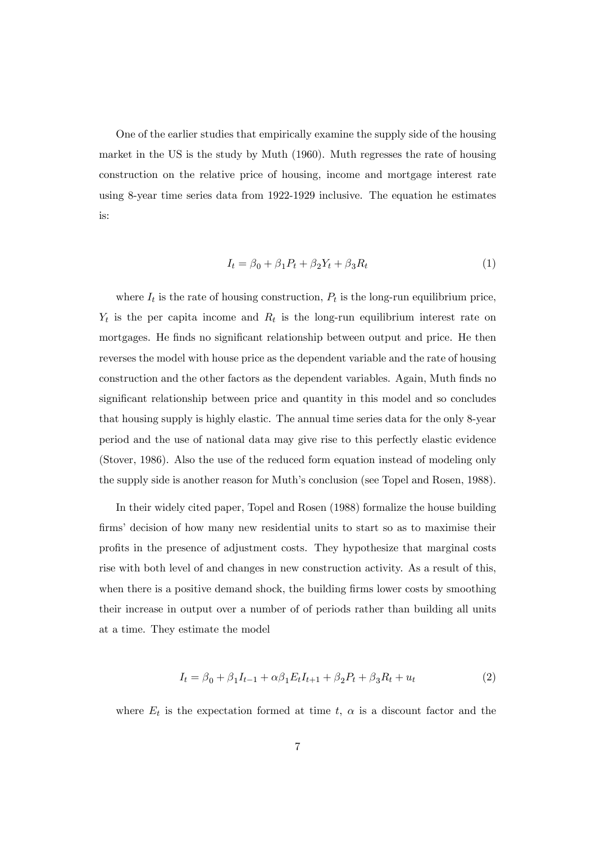One of the earlier studies that empirically examine the supply side of the housing market in the US is the study by Muth (1960). Muth regresses the rate of housing construction on the relative price of housing, income and mortgage interest rate using 8-year time series data from 1922-1929 inclusive. The equation he estimates is:

$$
I_t = \beta_0 + \beta_1 P_t + \beta_2 Y_t + \beta_3 R_t \tag{1}
$$

where  $I_t$  is the rate of housing construction,  $P_t$  is the long-run equilibrium price,  $Y_t$  is the per capita income and  $R_t$  is the long-run equilibrium interest rate on mortgages. He finds no significant relationship between output and price. He then reverses the model with house price as the dependent variable and the rate of housing construction and the other factors as the dependent variables. Again, Muth finds no significant relationship between price and quantity in this model and so concludes that housing supply is highly elastic. The annual time series data for the only 8-year period and the use of national data may give rise to this perfectly elastic evidence (Stover, 1986). Also the use of the reduced form equation instead of modeling only the supply side is another reason for Muth's conclusion (see Topel and Rosen, 1988).

In their widely cited paper, Topel and Rosen (1988) formalize the house building firms' decision of how many new residential units to start so as to maximise their profits in the presence of adjustment costs. They hypothesize that marginal costs rise with both level of and changes in new construction activity. As a result of this, when there is a positive demand shock, the building firms lower costs by smoothing their increase in output over a number of of periods rather than building all units at a time. They estimate the model

$$
I_t = \beta_0 + \beta_1 I_{t-1} + \alpha \beta_1 E_t I_{t+1} + \beta_2 P_t + \beta_3 R_t + u_t \tag{2}
$$

where  $E_t$  is the expectation formed at time t,  $\alpha$  is a discount factor and the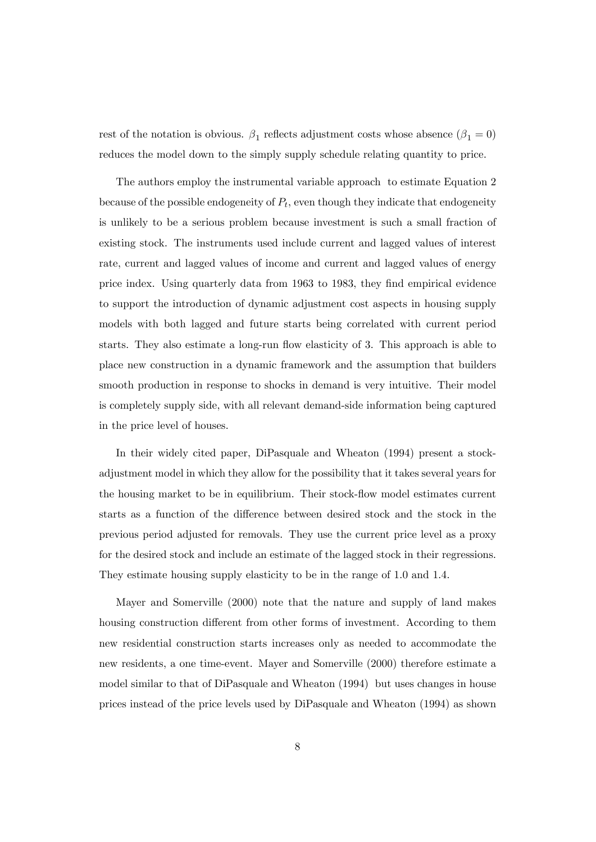rest of the notation is obvious.  $\beta_1$  reflects adjustment costs whose absence  $(\beta_1 = 0)$ reduces the model down to the simply supply schedule relating quantity to price.

The authors employ the instrumental variable approach to estimate Equation 2 because of the possible endogeneity of  $P_t$ , even though they indicate that endogeneity is unlikely to be a serious problem because investment is such a small fraction of existing stock. The instruments used include current and lagged values of interest rate, current and lagged values of income and current and lagged values of energy price index. Using quarterly data from 1963 to 1983, they find empirical evidence to support the introduction of dynamic adjustment cost aspects in housing supply models with both lagged and future starts being correlated with current period starts. They also estimate a long-run flow elasticity of 3. This approach is able to place new construction in a dynamic framework and the assumption that builders smooth production in response to shocks in demand is very intuitive. Their model is completely supply side, with all relevant demand-side information being captured in the price level of houses.

In their widely cited paper, DiPasquale and Wheaton (1994) present a stockadjustment model in which they allow for the possibility that it takes several years for the housing market to be in equilibrium. Their stock-flow model estimates current starts as a function of the difference between desired stock and the stock in the previous period adjusted for removals. They use the current price level as a proxy for the desired stock and include an estimate of the lagged stock in their regressions. They estimate housing supply elasticity to be in the range of 1.0 and 1.4.

Mayer and Somerville (2000) note that the nature and supply of land makes housing construction different from other forms of investment. According to them new residential construction starts increases only as needed to accommodate the new residents, a one time-event. Mayer and Somerville (2000) therefore estimate a model similar to that of DiPasquale and Wheaton (1994) but uses changes in house prices instead of the price levels used by DiPasquale and Wheaton (1994) as shown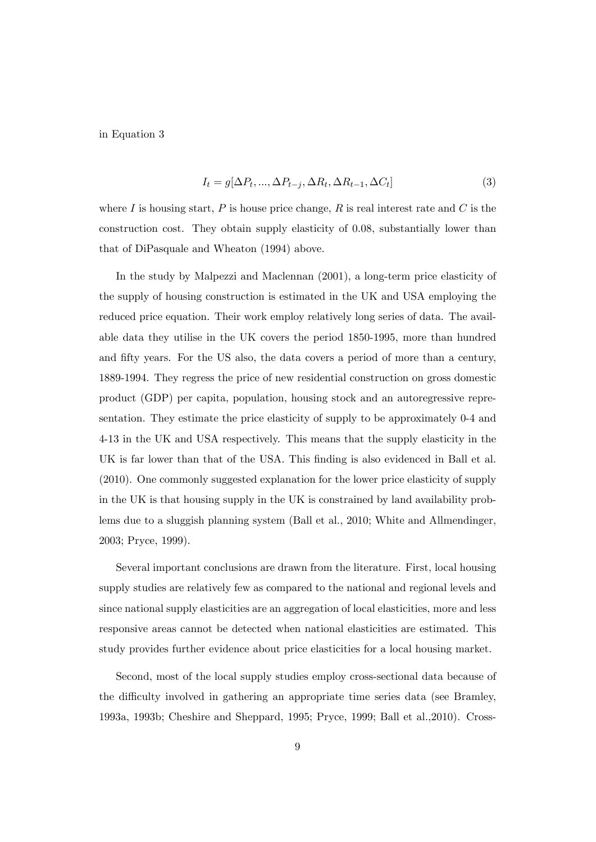in Equation 3

$$
I_t = g[\Delta P_t, ..., \Delta P_{t-j}, \Delta R_t, \Delta R_{t-1}, \Delta C_t]
$$
\n(3)

where I is housing start,  $P$  is house price change,  $R$  is real interest rate and  $C$  is the construction cost. They obtain supply elasticity of 0.08, substantially lower than that of DiPasquale and Wheaton (1994) above.

In the study by Malpezzi and Maclennan (2001), a long-term price elasticity of the supply of housing construction is estimated in the UK and USA employing the reduced price equation. Their work employ relatively long series of data. The available data they utilise in the UK covers the period 1850-1995, more than hundred and fifty years. For the US also, the data covers a period of more than a century, 1889-1994. They regress the price of new residential construction on gross domestic product (GDP) per capita, population, housing stock and an autoregressive representation. They estimate the price elasticity of supply to be approximately 0-4 and 4-13 in the UK and USA respectively. This means that the supply elasticity in the UK is far lower than that of the USA. This finding is also evidenced in Ball et al. (2010). One commonly suggested explanation for the lower price elasticity of supply in the UK is that housing supply in the UK is constrained by land availability problems due to a sluggish planning system (Ball et al., 2010; White and Allmendinger, 2003; Pryce, 1999).

Several important conclusions are drawn from the literature. First, local housing supply studies are relatively few as compared to the national and regional levels and since national supply elasticities are an aggregation of local elasticities, more and less responsive areas cannot be detected when national elasticities are estimated. This study provides further evidence about price elasticities for a local housing market.

Second, most of the local supply studies employ cross-sectional data because of the difficulty involved in gathering an appropriate time series data (see Bramley, 1993a, 1993b; Cheshire and Sheppard, 1995; Pryce, 1999; Ball et al.,2010). Cross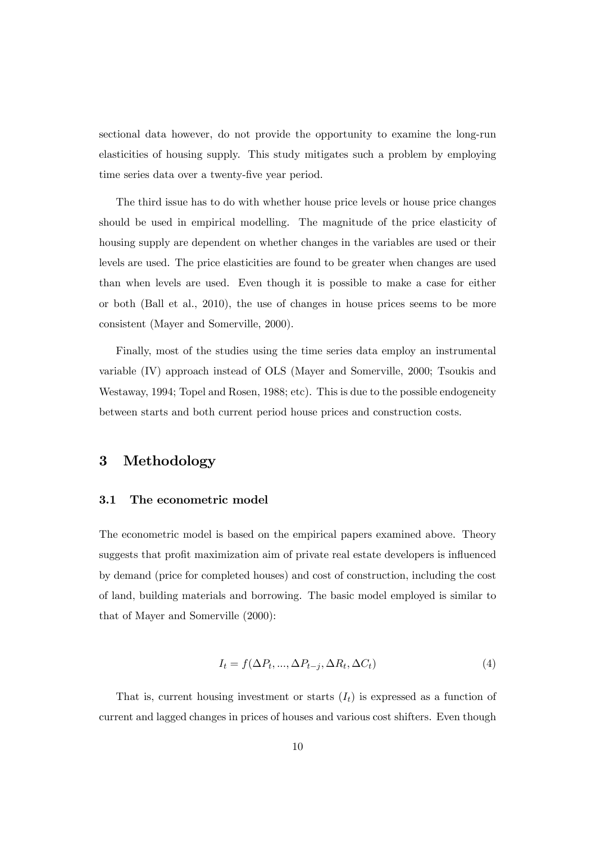sectional data however, do not provide the opportunity to examine the long-run elasticities of housing supply. This study mitigates such a problem by employing time series data over a twenty-five year period.

The third issue has to do with whether house price levels or house price changes should be used in empirical modelling. The magnitude of the price elasticity of housing supply are dependent on whether changes in the variables are used or their levels are used. The price elasticities are found to be greater when changes are used than when levels are used. Even though it is possible to make a case for either or both (Ball et al., 2010), the use of changes in house prices seems to be more consistent (Mayer and Somerville, 2000).

Finally, most of the studies using the time series data employ an instrumental variable (IV) approach instead of OLS (Mayer and Somerville, 2000; Tsoukis and Westaway, 1994; Topel and Rosen, 1988; etc). This is due to the possible endogeneity between starts and both current period house prices and construction costs.

## 3 Methodology

#### 3.1 The econometric model

The econometric model is based on the empirical papers examined above. Theory suggests that profit maximization aim of private real estate developers is influenced by demand (price for completed houses) and cost of construction, including the cost of land, building materials and borrowing. The basic model employed is similar to that of Mayer and Somerville (2000):

$$
I_t = f(\Delta P_t, ..., \Delta P_{t-j}, \Delta R_t, \Delta C_t)
$$
\n<sup>(4)</sup>

That is, current housing investment or starts  $(I_t)$  is expressed as a function of current and lagged changes in prices of houses and various cost shifters. Even though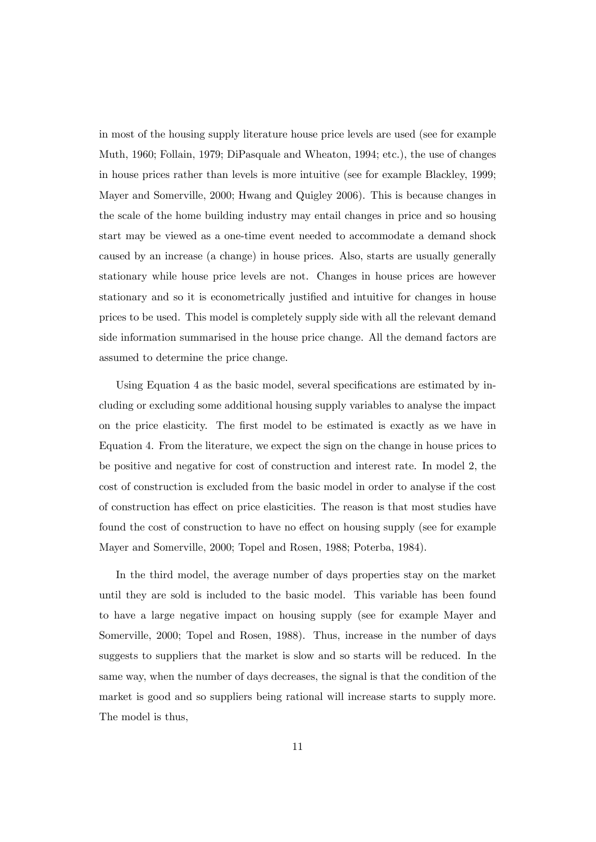in most of the housing supply literature house price levels are used (see for example Muth, 1960; Follain, 1979; DiPasquale and Wheaton, 1994; etc.), the use of changes in house prices rather than levels is more intuitive (see for example Blackley, 1999; Mayer and Somerville, 2000; Hwang and Quigley 2006). This is because changes in the scale of the home building industry may entail changes in price and so housing start may be viewed as a one-time event needed to accommodate a demand shock caused by an increase (a change) in house prices. Also, starts are usually generally stationary while house price levels are not. Changes in house prices are however stationary and so it is econometrically justified and intuitive for changes in house prices to be used. This model is completely supply side with all the relevant demand side information summarised in the house price change. All the demand factors are assumed to determine the price change.

Using Equation 4 as the basic model, several specifications are estimated by including or excluding some additional housing supply variables to analyse the impact on the price elasticity. The first model to be estimated is exactly as we have in Equation 4. From the literature, we expect the sign on the change in house prices to be positive and negative for cost of construction and interest rate. In model 2, the cost of construction is excluded from the basic model in order to analyse if the cost of construction has effect on price elasticities. The reason is that most studies have found the cost of construction to have no effect on housing supply (see for example Mayer and Somerville, 2000; Topel and Rosen, 1988; Poterba, 1984).

In the third model, the average number of days properties stay on the market until they are sold is included to the basic model. This variable has been found to have a large negative impact on housing supply (see for example Mayer and Somerville, 2000; Topel and Rosen, 1988). Thus, increase in the number of days suggests to suppliers that the market is slow and so starts will be reduced. In the same way, when the number of days decreases, the signal is that the condition of the market is good and so suppliers being rational will increase starts to supply more. The model is thus,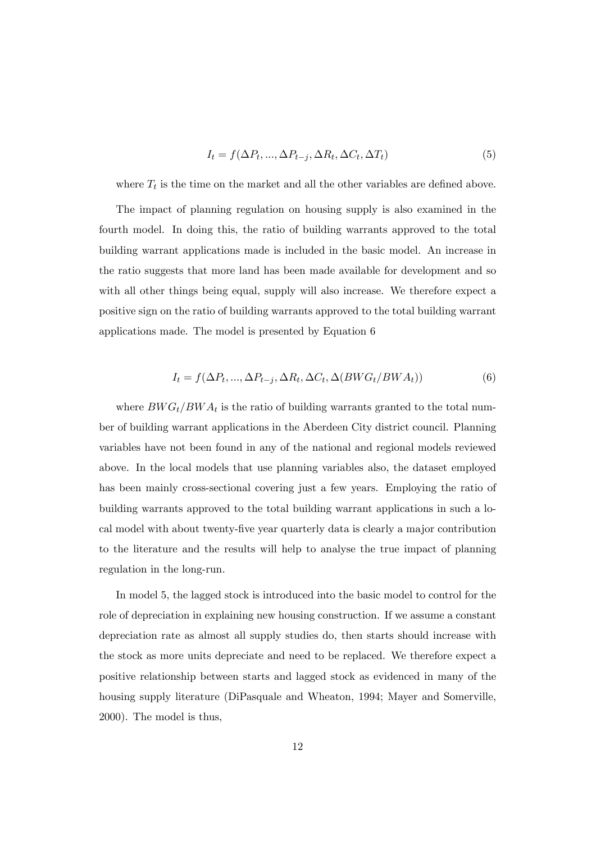$$
I_t = f(\Delta P_t, ..., \Delta P_{t-j}, \Delta R_t, \Delta C_t, \Delta T_t)
$$
\n
$$
(5)
$$

where  $T_t$  is the time on the market and all the other variables are defined above.

The impact of planning regulation on housing supply is also examined in the fourth model. In doing this, the ratio of building warrants approved to the total building warrant applications made is included in the basic model. An increase in the ratio suggests that more land has been made available for development and so with all other things being equal, supply will also increase. We therefore expect a positive sign on the ratio of building warrants approved to the total building warrant applications made. The model is presented by Equation 6

$$
I_t = f(\Delta P_t, ..., \Delta P_{t-j}, \Delta R_t, \Delta C_t, \Delta(BWG_t/BWA_t))
$$
\n(6)

where  $BWG_t/BWA_t$  is the ratio of building warrants granted to the total number of building warrant applications in the Aberdeen City district council. Planning variables have not been found in any of the national and regional models reviewed above. In the local models that use planning variables also, the dataset employed has been mainly cross-sectional covering just a few years. Employing the ratio of building warrants approved to the total building warrant applications in such a local model with about twenty-Öve year quarterly data is clearly a major contribution to the literature and the results will help to analyse the true impact of planning regulation in the long-run.

In model 5, the lagged stock is introduced into the basic model to control for the role of depreciation in explaining new housing construction. If we assume a constant depreciation rate as almost all supply studies do, then starts should increase with the stock as more units depreciate and need to be replaced. We therefore expect a positive relationship between starts and lagged stock as evidenced in many of the housing supply literature (DiPasquale and Wheaton, 1994; Mayer and Somerville, 2000). The model is thus,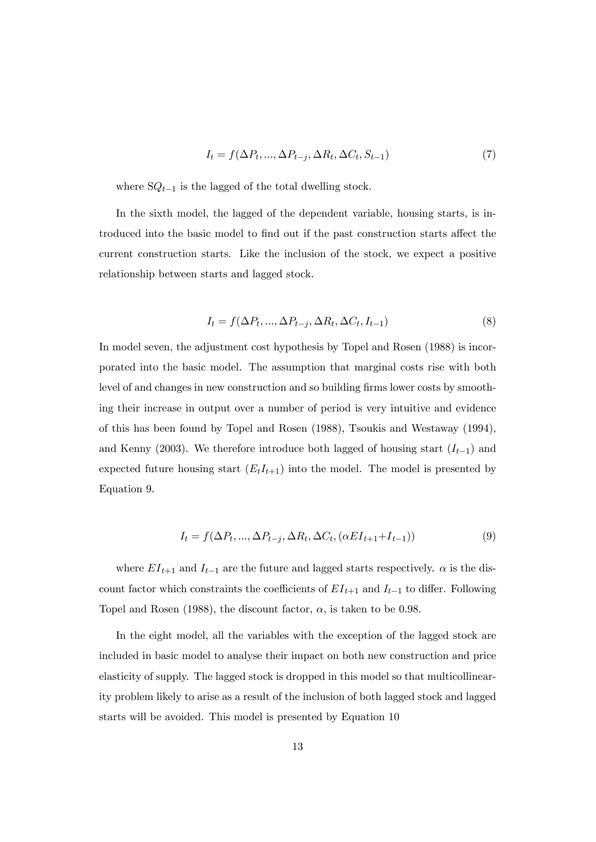$$
I_t = f(\Delta P_t, ..., \Delta P_{t-j}, \Delta R_t, \Delta C_t, S_{t-1})
$$
\n
$$
\tag{7}
$$

where  $SQ_{t-1}$  is the lagged of the total dwelling stock.

In the sixth model, the lagged of the dependent variable, housing starts, is introduced into the basic model to find out if the past construction starts affect the current construction starts. Like the inclusion of the stock, we expect a positive relationship between starts and lagged stock.

$$
I_t = f(\Delta P_t, ..., \Delta P_{t-j}, \Delta R_t, \Delta C_t, I_{t-1})
$$
\n(8)

In model seven, the adjustment cost hypothesis by Topel and Rosen (1988) is incorporated into the basic model. The assumption that marginal costs rise with both level of and changes in new construction and so building firms lower costs by smoothing their increase in output over a number of period is very intuitive and evidence of this has been found by Topel and Rosen (1988), Tsoukis and Westaway (1994), and Kenny (2003). We therefore introduce both lagged of housing start  $(I_{t-1})$  and expected future housing start  $(E_t I_{t+1})$  into the model. The model is presented by Equation 9.

$$
I_t = f(\Delta P_t, ..., \Delta P_{t-j}, \Delta R_t, \Delta C_t, (\alpha E I_{t+1} + I_{t-1}))
$$
\n
$$
(9)
$$

where  $EI_{t+1}$  and  $I_{t-1}$  are the future and lagged starts respectively.  $\alpha$  is the discount factor which constraints the coefficients of  $EI_{t+1}$  and  $I_{t-1}$  to differ. Following Topel and Rosen (1988), the discount factor,  $\alpha$ , is taken to be 0.98.

In the eight model, all the variables with the exception of the lagged stock are included in basic model to analyse their impact on both new construction and price elasticity of supply. The lagged stock is dropped in this model so that multicollinearity problem likely to arise as a result of the inclusion of both lagged stock and lagged starts will be avoided. This model is presented by Equation 10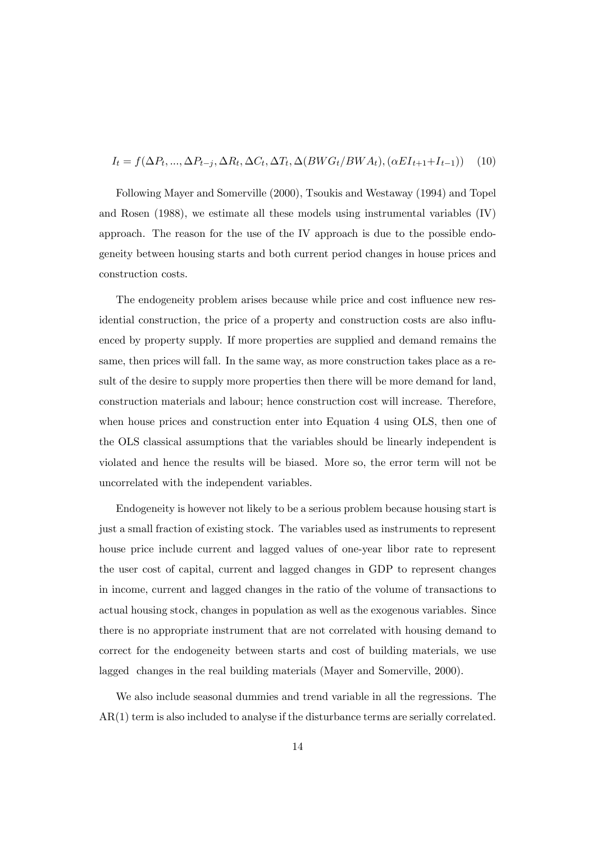$$
I_t = f(\Delta P_t, ..., \Delta P_{t-j}, \Delta R_t, \Delta C_t, \Delta T_t, \Delta (BWG_t/BWA_t), (\alpha EI_{t+1} + I_{t-1})) \tag{10}
$$

Following Mayer and Somerville (2000), Tsoukis and Westaway (1994) and Topel and Rosen (1988), we estimate all these models using instrumental variables (IV) approach. The reason for the use of the IV approach is due to the possible endogeneity between housing starts and both current period changes in house prices and construction costs.

The endogeneity problem arises because while price and cost ináuence new residential construction, the price of a property and construction costs are also ináuenced by property supply. If more properties are supplied and demand remains the same, then prices will fall. In the same way, as more construction takes place as a result of the desire to supply more properties then there will be more demand for land, construction materials and labour; hence construction cost will increase. Therefore, when house prices and construction enter into Equation 4 using OLS, then one of the OLS classical assumptions that the variables should be linearly independent is violated and hence the results will be biased. More so, the error term will not be uncorrelated with the independent variables.

Endogeneity is however not likely to be a serious problem because housing start is just a small fraction of existing stock. The variables used as instruments to represent house price include current and lagged values of one-year libor rate to represent the user cost of capital, current and lagged changes in GDP to represent changes in income, current and lagged changes in the ratio of the volume of transactions to actual housing stock, changes in population as well as the exogenous variables. Since there is no appropriate instrument that are not correlated with housing demand to correct for the endogeneity between starts and cost of building materials, we use lagged changes in the real building materials (Mayer and Somerville, 2000).

We also include seasonal dummies and trend variable in all the regressions. The AR(1) term is also included to analyse if the disturbance terms are serially correlated.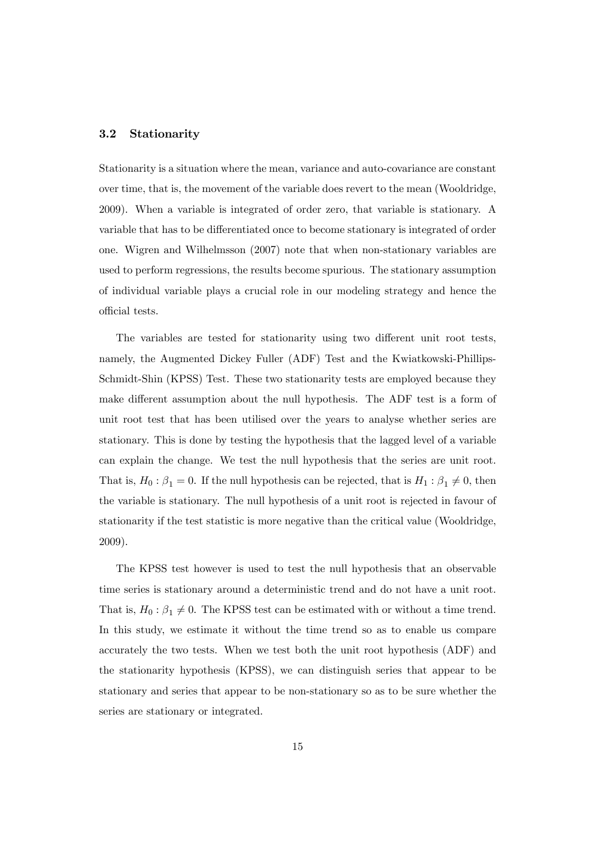#### 3.2 Stationarity

Stationarity is a situation where the mean, variance and auto-covariance are constant over time, that is, the movement of the variable does revert to the mean (Wooldridge, 2009). When a variable is integrated of order zero, that variable is stationary. A variable that has to be differentiated once to become stationary is integrated of order one. Wigren and Wilhelmsson (2007) note that when non-stationary variables are used to perform regressions, the results become spurious. The stationary assumption of individual variable plays a crucial role in our modeling strategy and hence the official tests.

The variables are tested for stationarity using two different unit root tests, namely, the Augmented Dickey Fuller (ADF) Test and the Kwiatkowski-Phillips-Schmidt-Shin (KPSS) Test. These two stationarity tests are employed because they make different assumption about the null hypothesis. The ADF test is a form of unit root test that has been utilised over the years to analyse whether series are stationary. This is done by testing the hypothesis that the lagged level of a variable can explain the change. We test the null hypothesis that the series are unit root. That is,  $H_0: \beta_1 = 0$ . If the null hypothesis can be rejected, that is  $H_1: \beta_1 \neq 0$ , then the variable is stationary. The null hypothesis of a unit root is rejected in favour of stationarity if the test statistic is more negative than the critical value (Wooldridge, 2009).

The KPSS test however is used to test the null hypothesis that an observable time series is stationary around a deterministic trend and do not have a unit root. That is,  $H_0: \beta_1 \neq 0$ . The KPSS test can be estimated with or without a time trend. In this study, we estimate it without the time trend so as to enable us compare accurately the two tests. When we test both the unit root hypothesis (ADF) and the stationarity hypothesis (KPSS), we can distinguish series that appear to be stationary and series that appear to be non-stationary so as to be sure whether the series are stationary or integrated.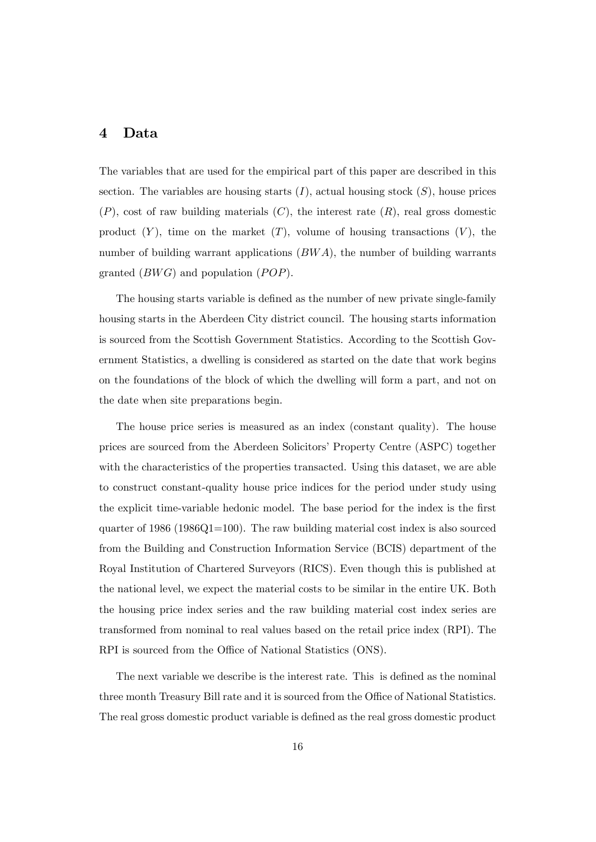## 4 Data

The variables that are used for the empirical part of this paper are described in this section. The variables are housing starts  $(I)$ , actual housing stock  $(S)$ , house prices  $(P)$ , cost of raw building materials  $(C)$ , the interest rate  $(R)$ , real gross domestic product  $(Y)$ , time on the market  $(T)$ , volume of housing transactions  $(V)$ , the number of building warrant applications  $(BWA)$ , the number of building warrants granted  $(BWG)$  and population  $(POP)$ .

The housing starts variable is defined as the number of new private single-family housing starts in the Aberdeen City district council. The housing starts information is sourced from the Scottish Government Statistics. According to the Scottish Government Statistics, a dwelling is considered as started on the date that work begins on the foundations of the block of which the dwelling will form a part, and not on the date when site preparations begin.

The house price series is measured as an index (constant quality). The house prices are sourced from the Aberdeen Solicitors' Property Centre (ASPC) together with the characteristics of the properties transacted. Using this dataset, we are able to construct constant-quality house price indices for the period under study using the explicit time-variable hedonic model. The base period for the index is the first quarter of 1986 (1986Q1=100). The raw building material cost index is also sourced from the Building and Construction Information Service (BCIS) department of the Royal Institution of Chartered Surveyors (RICS). Even though this is published at the national level, we expect the material costs to be similar in the entire UK. Both the housing price index series and the raw building material cost index series are transformed from nominal to real values based on the retail price index (RPI). The RPI is sourced from the Office of National Statistics (ONS).

The next variable we describe is the interest rate. This is defined as the nominal three month Treasury Bill rate and it is sourced from the Office of National Statistics. The real gross domestic product variable is defined as the real gross domestic product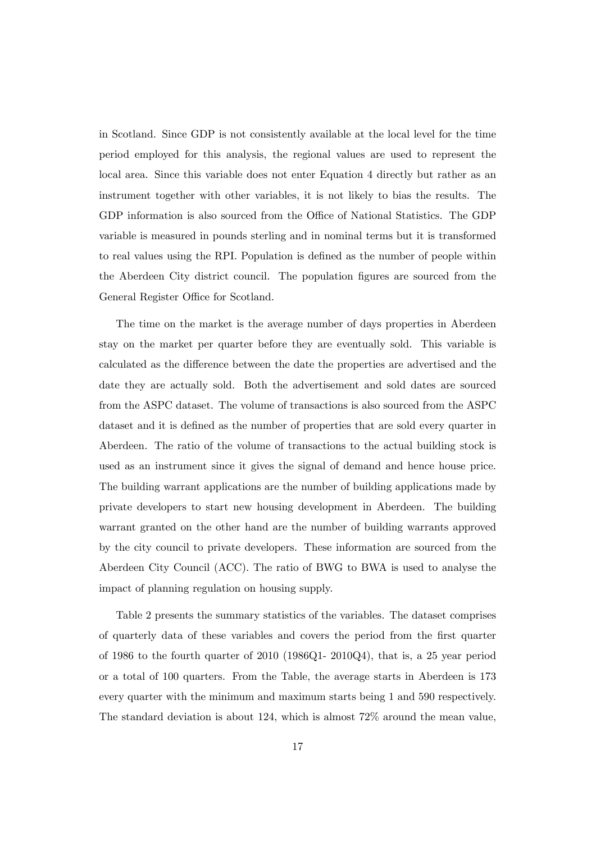in Scotland. Since GDP is not consistently available at the local level for the time period employed for this analysis, the regional values are used to represent the local area. Since this variable does not enter Equation 4 directly but rather as an instrument together with other variables, it is not likely to bias the results. The GDP information is also sourced from the Office of National Statistics. The GDP variable is measured in pounds sterling and in nominal terms but it is transformed to real values using the RPI. Population is defined as the number of people within the Aberdeen City district council. The population figures are sourced from the General Register Office for Scotland.

The time on the market is the average number of days properties in Aberdeen stay on the market per quarter before they are eventually sold. This variable is calculated as the difference between the date the properties are advertised and the date they are actually sold. Both the advertisement and sold dates are sourced from the ASPC dataset. The volume of transactions is also sourced from the ASPC dataset and it is defined as the number of properties that are sold every quarter in Aberdeen. The ratio of the volume of transactions to the actual building stock is used as an instrument since it gives the signal of demand and hence house price. The building warrant applications are the number of building applications made by private developers to start new housing development in Aberdeen. The building warrant granted on the other hand are the number of building warrants approved by the city council to private developers. These information are sourced from the Aberdeen City Council (ACC). The ratio of BWG to BWA is used to analyse the impact of planning regulation on housing supply.

Table 2 presents the summary statistics of the variables. The dataset comprises of quarterly data of these variables and covers the period from the Örst quarter of 1986 to the fourth quarter of 2010 (1986Q1- 2010Q4), that is, a 25 year period or a total of 100 quarters. From the Table, the average starts in Aberdeen is 173 every quarter with the minimum and maximum starts being 1 and 590 respectively. The standard deviation is about 124, which is almost 72% around the mean value,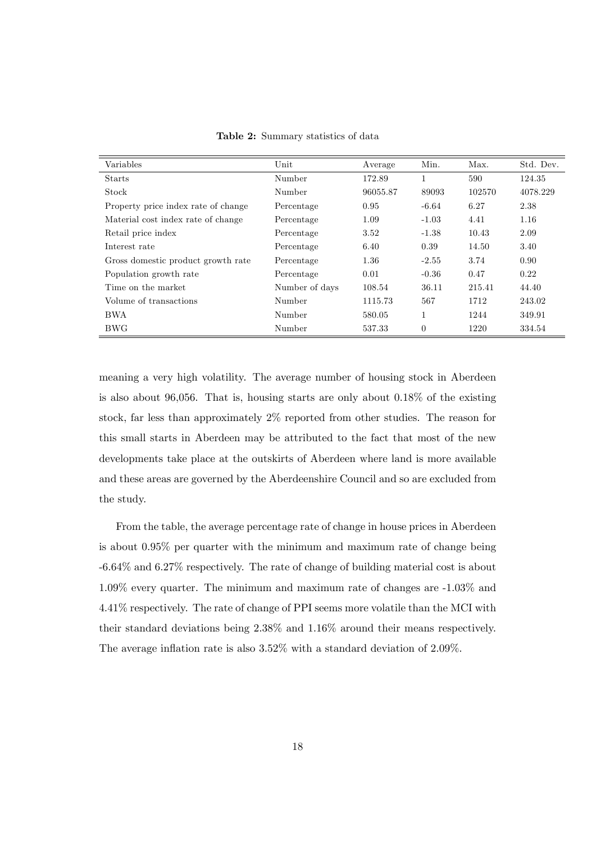| Variables                           | Unit           | Average  | Min.     | Max.   | Std. Dev. |
|-------------------------------------|----------------|----------|----------|--------|-----------|
| <b>Starts</b>                       | Number         | 172.89   |          | 590    | 124.35    |
| Stock                               | Number         | 96055.87 | 89093    | 102570 | 4078.229  |
| Property price index rate of change | Percentage     | 0.95     | $-6.64$  | 6.27   | 2.38      |
| Material cost index rate of change  | Percentage     | 1.09     | $-1.03$  | 4.41   | 1.16      |
| Retail price index                  | Percentage     | 3.52     | $-1.38$  | 10.43  | 2.09      |
| Interest rate                       | Percentage     | 6.40     | 0.39     | 14.50  | 3.40      |
| Gross domestic product growth rate  | Percentage     | 1.36     | $-2.55$  | 3.74   | 0.90      |
| Population growth rate              | Percentage     | 0.01     | $-0.36$  | 0.47   | 0.22      |
| Time on the market                  | Number of days | 108.54   | 36.11    | 215.41 | 44.40     |
| Volume of transactions              | Number         | 1115.73  | 567      | 1712   | 243.02    |
| BWA                                 | Number         | 580.05   | 1        | 1244   | 349.91    |
| <b>BWG</b>                          | Number         | 537.33   | $\theta$ | 1220   | 334.54    |

Table 2: Summary statistics of data

meaning a very high volatility. The average number of housing stock in Aberdeen is also about 96,056. That is, housing starts are only about 0.18% of the existing stock, far less than approximately 2% reported from other studies. The reason for this small starts in Aberdeen may be attributed to the fact that most of the new developments take place at the outskirts of Aberdeen where land is more available and these areas are governed by the Aberdeenshire Council and so are excluded from the study.

From the table, the average percentage rate of change in house prices in Aberdeen is about 0.95% per quarter with the minimum and maximum rate of change being -6.64% and 6.27% respectively. The rate of change of building material cost is about 1.09% every quarter. The minimum and maximum rate of changes are -1.03% and 4.41% respectively. The rate of change of PPI seems more volatile than the MCI with their standard deviations being 2.38% and 1.16% around their means respectively. The average inflation rate is also  $3.52\%$  with a standard deviation of 2.09%.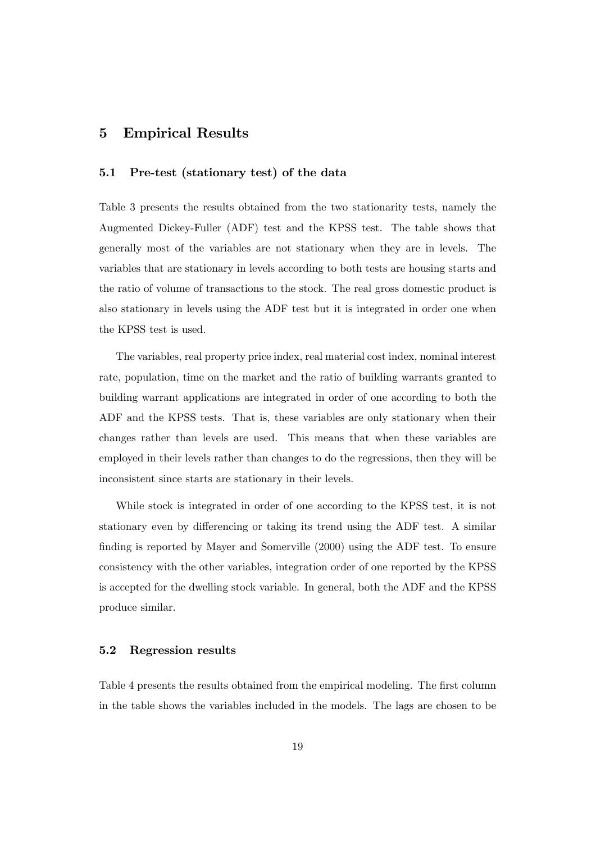## 5 Empirical Results

#### 5.1 Pre-test (stationary test) of the data

Table 3 presents the results obtained from the two stationarity tests, namely the Augmented Dickey-Fuller (ADF) test and the KPSS test. The table shows that generally most of the variables are not stationary when they are in levels. The variables that are stationary in levels according to both tests are housing starts and the ratio of volume of transactions to the stock. The real gross domestic product is also stationary in levels using the ADF test but it is integrated in order one when the KPSS test is used.

The variables, real property price index, real material cost index, nominal interest rate, population, time on the market and the ratio of building warrants granted to building warrant applications are integrated in order of one according to both the ADF and the KPSS tests. That is, these variables are only stationary when their changes rather than levels are used. This means that when these variables are employed in their levels rather than changes to do the regressions, then they will be inconsistent since starts are stationary in their levels.

While stock is integrated in order of one according to the KPSS test, it is not stationary even by differencing or taking its trend using the ADF test. A similar finding is reported by Mayer and Somerville (2000) using the ADF test. To ensure consistency with the other variables, integration order of one reported by the KPSS is accepted for the dwelling stock variable. In general, both the ADF and the KPSS produce similar.

#### 5.2 Regression results

Table 4 presents the results obtained from the empirical modeling. The first column in the table shows the variables included in the models. The lags are chosen to be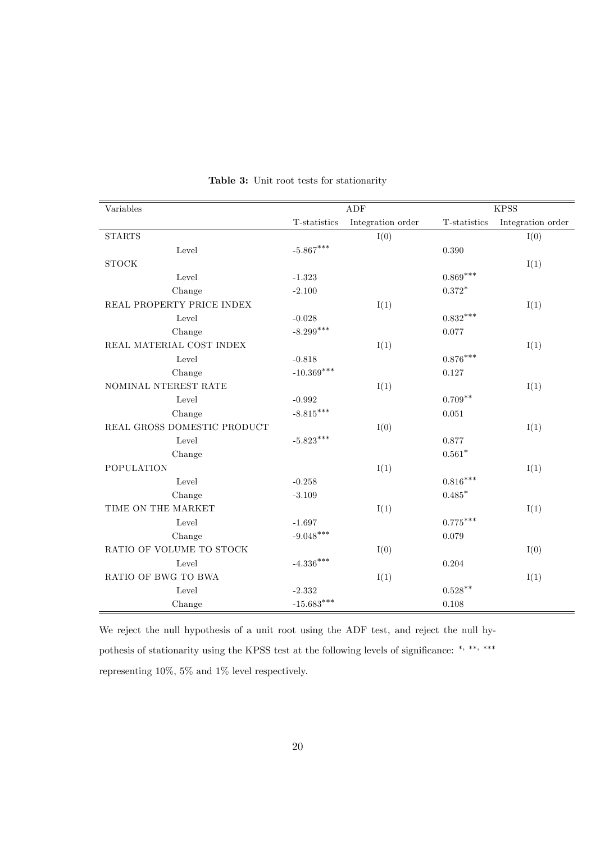| Variables                   |                                  | ADF               |                 | <b>KPSS</b>       |
|-----------------------------|----------------------------------|-------------------|-----------------|-------------------|
|                             | T-statistics                     | Integration order | T-statistics    | Integration order |
| <b>STARTS</b>               |                                  | I(0)              |                 | I(0)              |
| Level                       | $\textbf{-5.867}^{\textbf{***}}$ |                   | 0.390           |                   |
| <b>STOCK</b>                |                                  |                   |                 | I(1)              |
| Level                       | $-1.323$                         |                   | $0.869^{***}\,$ |                   |
| Change                      | $-2.100$                         |                   | $0.372^{\ast}$  |                   |
| REAL PROPERTY PRICE INDEX   |                                  | I(1)              |                 | I(1)              |
| Level                       | $-0.028$                         |                   | $0.832***$      |                   |
| Change                      | $-8.299***$                      |                   | 0.077           |                   |
| REAL MATERIAL COST INDEX    |                                  | I(1)              |                 | I(1)              |
| Level                       | $-0.818$                         |                   | $0.876***$      |                   |
| Change                      | $-10.369***$                     |                   | $0.127\,$       |                   |
| NOMINAL NTEREST RATE        |                                  | I(1)              |                 | I(1)              |
| Level                       | $-0.992$                         |                   | $0.709***$      |                   |
| Change                      | $-8.815***$                      |                   | 0.051           |                   |
| REAL GROSS DOMESTIC PRODUCT |                                  | I(0)              |                 | I(1)              |
| Level                       | $-5.823***$                      |                   | 0.877           |                   |
| Change                      |                                  |                   | $0.561*$        |                   |
| <b>POPULATION</b>           |                                  | I(1)              |                 | I(1)              |
| Level                       | $-0.258$                         |                   | $0.816***$      |                   |
| Change                      | $-3.109$                         |                   | $0.485*$        |                   |
| TIME ON THE MARKET          |                                  | I(1)              |                 | I(1)              |
| Level                       | $-1.697$                         |                   | $0.775***$      |                   |
| Change                      | $-9.048***$                      |                   | 0.079           |                   |
| RATIO OF VOLUME TO STOCK    |                                  | I(0)              |                 | I(0)              |
| Level                       | $\textbf{-4.336}^{\ast\ast\ast}$ |                   | 0.204           |                   |
| RATIO OF BWG TO BWA         |                                  | I(1)              |                 | I(1)              |
| Level                       | $-2.332$                         |                   | $0.528***$      |                   |
| Change                      | $-15.683***$                     |                   | 0.108           |                   |

#### Table 3: Unit root tests for stationarity

We reject the null hypothesis of a unit root using the ADF test, and reject the null hypothesis of stationarity using the KPSS test at the following levels of significance: \*, \*\*, \*\*\* representing 10%, 5% and 1% level respectively.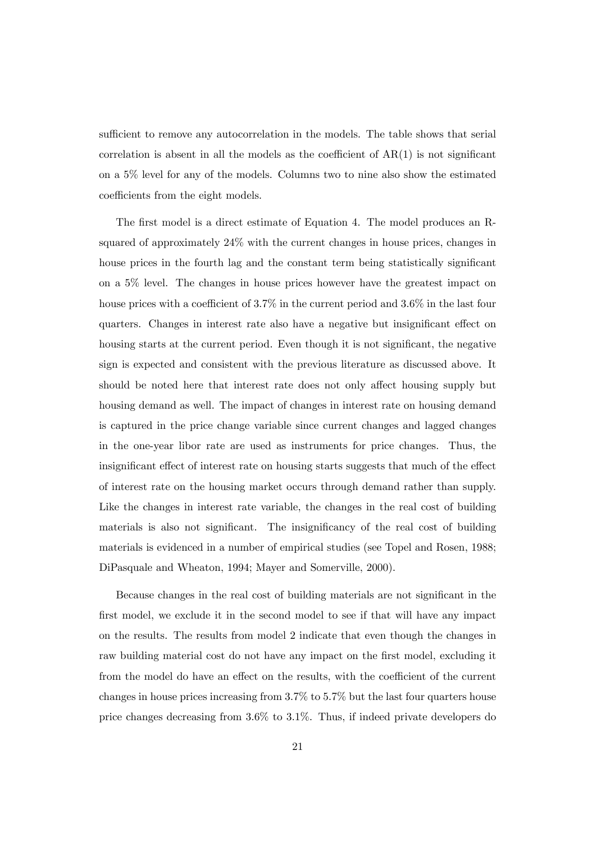sufficient to remove any autocorrelation in the models. The table shows that serial correlation is absent in all the models as the coefficient of  $AR(1)$  is not significant on a 5% level for any of the models. Columns two to nine also show the estimated coefficients from the eight models.

The first model is a direct estimate of Equation 4. The model produces an Rsquared of approximately 24% with the current changes in house prices, changes in house prices in the fourth lag and the constant term being statistically significant on a 5% level. The changes in house prices however have the greatest impact on house prices with a coefficient of  $3.7\%$  in the current period and  $3.6\%$  in the last four quarters. Changes in interest rate also have a negative but insignificant effect on housing starts at the current period. Even though it is not significant, the negative sign is expected and consistent with the previous literature as discussed above. It should be noted here that interest rate does not only affect housing supply but housing demand as well. The impact of changes in interest rate on housing demand is captured in the price change variable since current changes and lagged changes in the one-year libor rate are used as instruments for price changes. Thus, the insignificant effect of interest rate on housing starts suggests that much of the effect of interest rate on the housing market occurs through demand rather than supply. Like the changes in interest rate variable, the changes in the real cost of building materials is also not significant. The insignificancy of the real cost of building materials is evidenced in a number of empirical studies (see Topel and Rosen, 1988; DiPasquale and Wheaton, 1994; Mayer and Somerville, 2000).

Because changes in the real cost of building materials are not significant in the first model, we exclude it in the second model to see if that will have any impact on the results. The results from model 2 indicate that even though the changes in raw building material cost do not have any impact on the first model, excluding it from the model do have an effect on the results, with the coefficient of the current changes in house prices increasing from 3.7% to 5.7% but the last four quarters house price changes decreasing from 3.6% to 3.1%. Thus, if indeed private developers do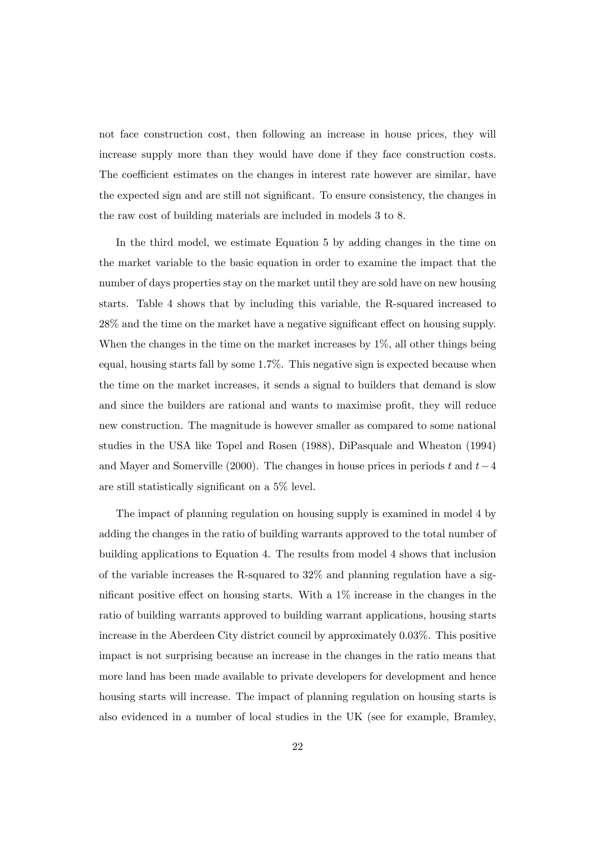not face construction cost, then following an increase in house prices, they will increase supply more than they would have done if they face construction costs. The coefficient estimates on the changes in interest rate however are similar, have the expected sign and are still not significant. To ensure consistency, the changes in the raw cost of building materials are included in models 3 to 8.

In the third model, we estimate Equation 5 by adding changes in the time on the market variable to the basic equation in order to examine the impact that the number of days properties stay on the market until they are sold have on new housing starts. Table 4 shows that by including this variable, the R-squared increased to 28% and the time on the market have a negative significant effect on housing supply. When the changes in the time on the market increases by 1%, all other things being equal, housing starts fall by some 1.7%. This negative sign is expected because when the time on the market increases, it sends a signal to builders that demand is slow and since the builders are rational and wants to maximise profit, they will reduce new construction. The magnitude is however smaller as compared to some national studies in the USA like Topel and Rosen (1988), DiPasquale and Wheaton (1994) and Mayer and Somerville (2000). The changes in house prices in periods t and  $t-4$ are still statistically significant on a  $5\%$  level.

The impact of planning regulation on housing supply is examined in model 4 by adding the changes in the ratio of building warrants approved to the total number of building applications to Equation 4. The results from model 4 shows that inclusion of the variable increases the R-squared to  $32\%$  and planning regulation have a significant positive effect on housing starts. With a  $1\%$  increase in the changes in the ratio of building warrants approved to building warrant applications, housing starts increase in the Aberdeen City district council by approximately 0.03%. This positive impact is not surprising because an increase in the changes in the ratio means that more land has been made available to private developers for development and hence housing starts will increase. The impact of planning regulation on housing starts is also evidenced in a number of local studies in the UK (see for example, Bramley,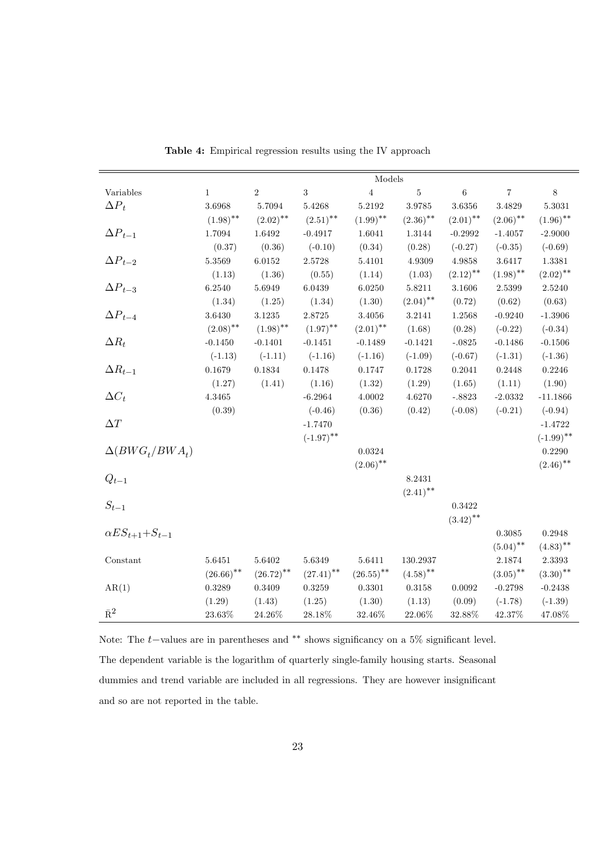|                           |              |              |              | Models                 |                |                        |             |              |
|---------------------------|--------------|--------------|--------------|------------------------|----------------|------------------------|-------------|--------------|
| Variables                 | $\mathbf{1}$ | $\sqrt{2}$   | 3            | $\,4\,$                | $\overline{5}$ | $\,6$                  | $\,7$       | $8\,$        |
| $\Delta P_t$              | 3.6968       | 5.7094       | 5.4268       | 5.2192                 | 3.9785         | 3.6356                 | 3.4829      | 5.3031       |
|                           | $(1.98)$ **  | $(2.02)$ **  | $(2.51)$ **  | $(1.99)$ **            | $(2.36)$ **    | $(2.01)$ **            | $(2.06)$ ** | $(1.96)$ **  |
| $\Delta P_{t-1}$          | 1.7094       | 1.6492       | $-0.4917$    | 1.6041                 | 1.3144         | $-0.2992$              | $-1.4057$   | $-2.9000$    |
|                           | (0.37)       | (0.36)       | $(-0.10)$    | (0.34)                 | (0.28)         | $(-0.27)$              | $(-0.35)$   | $(-0.69)$    |
| $\Delta P_{t-2}$          | $5.3569\,$   | $6.0152\,$   | 2.5728       | 5.4101                 | 4.9309         | 4.9858                 | 3.6417      | 1.3381       |
|                           | (1.13)       | (1.36)       | (0.55)       | (1.14)                 | (1.03)         | $(2.12)$ **            | $(1.98)$ ** | $(2.02)$ **  |
| $\Delta P_{t-3}$          | 6.2540       | $5.6949\,$   | 6.0439       | 6.0250                 | 5.8211         | 3.1606                 | 2.5399      | 2.5240       |
|                           | (1.34)       | (1.25)       | (1.34)       | (1.30)                 | $(2.04)$ **    | (0.72)                 | (0.62)      | (0.63)       |
| $\Delta P_{t-4}$          | 3.6430       | 3.1235       | 2.8725       | 3.4056                 | $3.2141\,$     | 1.2568                 | $-0.9240$   | $-1.3906$    |
|                           | $(2.08)$ **  | $(1.98)$ **  | $(1.97)$ **  | $(2.01)$ **            | (1.68)         | (0.28)                 | $(-0.22)$   | $(-0.34)$    |
| $\Delta R_t$              | $-0.1450$    | $-0.1401$    | $-0.1451$    | $-0.1489$              | $-0.1421$      | $-.0825$               | $-0.1486$   | $-0.1506$    |
|                           | $(-1.13)$    | $(-1.11)$    | $(-1.16)$    | $(-1.16)$              | $(-1.09)$      | $(-0.67)$              | $(-1.31)$   | $(-1.36)$    |
| $\Delta R_{t-1}$          | 0.1679       | $\,0.1834\,$ | 0.1478       | 0.1747                 | 0.1728         | 0.2041                 | 0.2448      | 0.2246       |
|                           | (1.27)       | (1.41)       | (1.16)       | (1.32)                 | (1.29)         | (1.65)                 | (1.11)      | (1.90)       |
| $\Delta C_t$              | $4.3465\,$   |              | $-6.2964$    | 4.0002                 | 4.6270         | $-.8823$               | $-2.0332$   | $-11.1866$   |
|                           | (0.39)       |              | $(-0.46)$    | (0.36)                 | (0.42)         | $(-0.08)$              | $(-0.21)$   | $(-0.94)$    |
| $\Delta T$                |              |              | $-1.7470$    |                        |                |                        |             | $-1.4722$    |
|                           |              |              | $(-1.97)$ ** |                        |                |                        |             | $(-1.99)$ ** |
| $\Delta(BWG_{t}/BWA_{t})$ |              |              |              | 0.0324                 |                |                        |             | 0.2290       |
|                           |              |              |              | $(2.06)$ <sup>**</sup> |                |                        |             | $(2.46)$ **  |
| $Q_{t-1}$                 |              |              |              |                        | 8.2431         |                        |             |              |
|                           |              |              |              |                        | $(2.41)$ **    |                        |             |              |
| $S_{t-1}$                 |              |              |              |                        |                | 0.3422                 |             |              |
|                           |              |              |              |                        |                | $(3.42)$ <sup>**</sup> |             |              |
| $\alpha ES_{t+1}+S_{t-1}$ |              |              |              |                        |                |                        | 0.3085      | 0.2948       |
|                           |              |              |              |                        |                |                        | $(5.04)$ ** | $(4.83)$ **  |
| Constant                  | 5.6451       | 5.6402       | 5.6349       | 5.6411                 | 130.2937       |                        | 2.1874      | 2.3393       |
|                           | $(26.66)$ ** | $(26.72)$ ** | $(27.41)$ ** | $(26.55)$ **           | $(4.58)$ **    |                        | $(3.05)$ ** | $(3.30)$ **  |
| AR(1)                     | 0.3289       | 0.3409       | 0.3259       | 0.3301                 | $0.3158\,$     | 0.0092                 | $-0.2798$   | $-0.2438$    |
|                           | (1.29)       | (1.43)       | (1.25)       | (1.30)                 | (1.13)         | (0.09)                 | $(-1.78)$   | $(-1.39)$    |
| $\bar{\mathrm{R}}^2$      | $23.63\%$    | $24.26\%$    | $28.18\%$    | $32.46\%$              | $22.06\%$      | $32.88\%$              | 42.37%      | 47.08%       |

Table 4: Empirical regression results using the IV approach

Note: The  $t$ -values are in parentheses and  $**$  shows significancy on a 5% significant level. The dependent variable is the logarithm of quarterly single-family housing starts. Seasonal dummies and trend variable are included in all regressions. They are however insignificant and so are not reported in the table.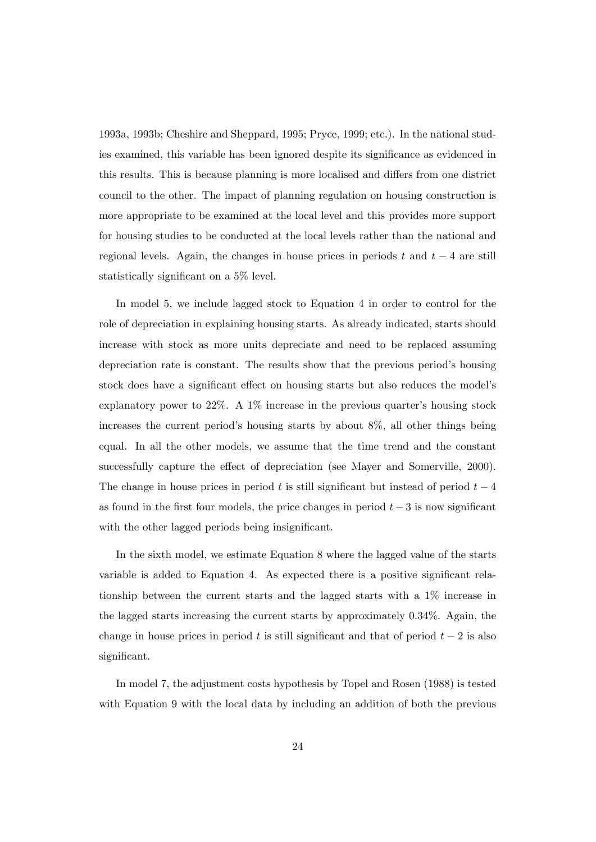1993a, 1993b; Cheshire and Sheppard, 1995; Pryce, 1999; etc.). In the national studies examined, this variable has been ignored despite its significance as evidenced in this results. This is because planning is more localised and differs from one district council to the other. The impact of planning regulation on housing construction is more appropriate to be examined at the local level and this provides more support for housing studies to be conducted at the local levels rather than the national and regional levels. Again, the changes in house prices in periods t and  $t - 4$  are still statistically significant on a 5\% level.

In model 5, we include lagged stock to Equation 4 in order to control for the role of depreciation in explaining housing starts. As already indicated, starts should increase with stock as more units depreciate and need to be replaced assuming depreciation rate is constant. The results show that the previous period's housing stock does have a significant effect on housing starts but also reduces the model's explanatory power to  $22\%$ . A 1% increase in the previous quarter's housing stock increases the current period's housing starts by about 8%, all other things being equal. In all the other models, we assume that the time trend and the constant successfully capture the effect of depreciation (see Mayer and Somerville, 2000). The change in house prices in period t is still significant but instead of period  $t - 4$ as found in the first four models, the price changes in period  $t - 3$  is now significant with the other lagged periods being insignificant.

In the sixth model, we estimate Equation 8 where the lagged value of the starts variable is added to Equation 4. As expected there is a positive significant relationship between the current starts and the lagged starts with a 1% increase in the lagged starts increasing the current starts by approximately 0.34%. Again, the change in house prices in period t is still significant and that of period  $t - 2$  is also significant.

In model 7, the adjustment costs hypothesis by Topel and Rosen (1988) is tested with Equation 9 with the local data by including an addition of both the previous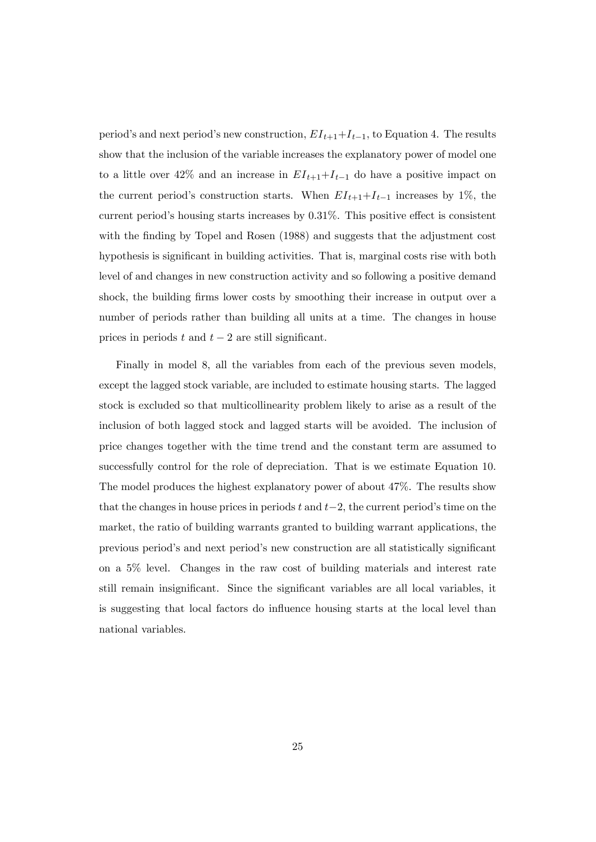period's and next period's new construction,  $EI_{t+1}+I_{t-1}$ , to Equation 4. The results show that the inclusion of the variable increases the explanatory power of model one to a little over 42% and an increase in  $EI_{t+1}+I_{t-1}$  do have a positive impact on the current period's construction starts. When  $EI_{t+1}+I_{t-1}$  increases by 1%, the current period's housing starts increases by  $0.31\%$ . This positive effect is consistent with the finding by Topel and Rosen (1988) and suggests that the adjustment cost hypothesis is significant in building activities. That is, marginal costs rise with both level of and changes in new construction activity and so following a positive demand shock, the building firms lower costs by smoothing their increase in output over a number of periods rather than building all units at a time. The changes in house prices in periods t and  $t - 2$  are still significant.

Finally in model 8, all the variables from each of the previous seven models, except the lagged stock variable, are included to estimate housing starts. The lagged stock is excluded so that multicollinearity problem likely to arise as a result of the inclusion of both lagged stock and lagged starts will be avoided. The inclusion of price changes together with the time trend and the constant term are assumed to successfully control for the role of depreciation. That is we estimate Equation 10. The model produces the highest explanatory power of about 47%. The results show that the changes in house prices in periods t and  $t-2$ , the current period's time on the market, the ratio of building warrants granted to building warrant applications, the previous period's and next period's new construction are all statistically significant on a 5% level. Changes in the raw cost of building materials and interest rate still remain insignificant. Since the significant variables are all local variables, it is suggesting that local factors do influence housing starts at the local level than national variables.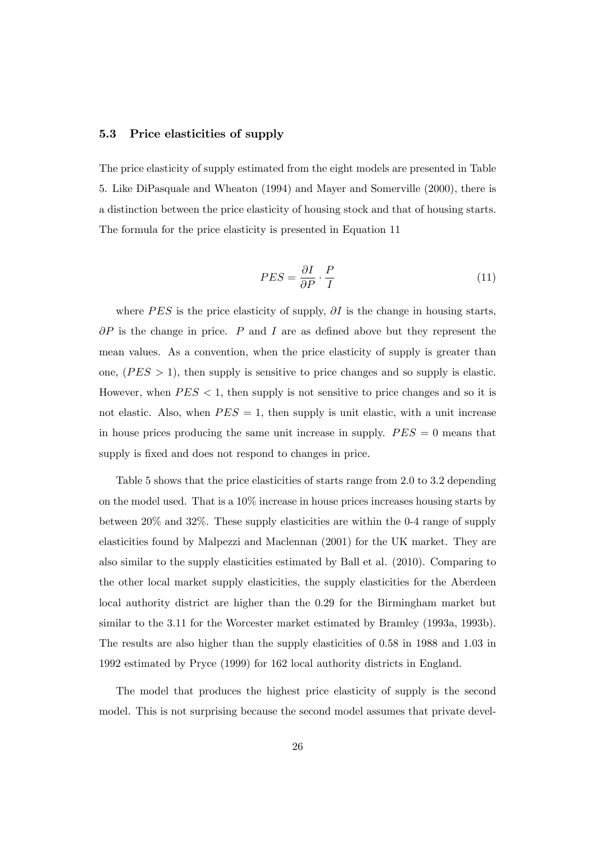#### 5.3 Price elasticities of supply

The price elasticity of supply estimated from the eight models are presented in Table 5. Like DiPasquale and Wheaton (1994) and Mayer and Somerville (2000), there is a distinction between the price elasticity of housing stock and that of housing starts. The formula for the price elasticity is presented in Equation 11

$$
PES = \frac{\partial I}{\partial P} \cdot \frac{P}{I} \tag{11}
$$

where PES is the price elasticity of supply,  $\partial I$  is the change in housing starts,  $\partial P$  is the change in price. P and I are as defined above but they represent the mean values. As a convention, when the price elasticity of supply is greater than one,  $(PES > 1)$ , then supply is sensitive to price changes and so supply is elastic. However, when  $PES < 1$ , then supply is not sensitive to price changes and so it is not elastic. Also, when  $PES = 1$ , then supply is unit elastic, with a unit increase in house prices producing the same unit increase in supply.  $PES = 0$  means that supply is fixed and does not respond to changes in price.

Table 5 shows that the price elasticities of starts range from 2.0 to 3.2 depending on the model used. That is a 10% increase in house prices increases housing starts by between 20% and 32%. These supply elasticities are within the 0-4 range of supply elasticities found by Malpezzi and Maclennan (2001) for the UK market. They are also similar to the supply elasticities estimated by Ball et al. (2010). Comparing to the other local market supply elasticities, the supply elasticities for the Aberdeen local authority district are higher than the 0.29 for the Birmingham market but similar to the 3.11 for the Worcester market estimated by Bramley (1993a, 1993b). The results are also higher than the supply elasticities of 0.58 in 1988 and 1.03 in 1992 estimated by Pryce (1999) for 162 local authority districts in England.

The model that produces the highest price elasticity of supply is the second model. This is not surprising because the second model assumes that private devel-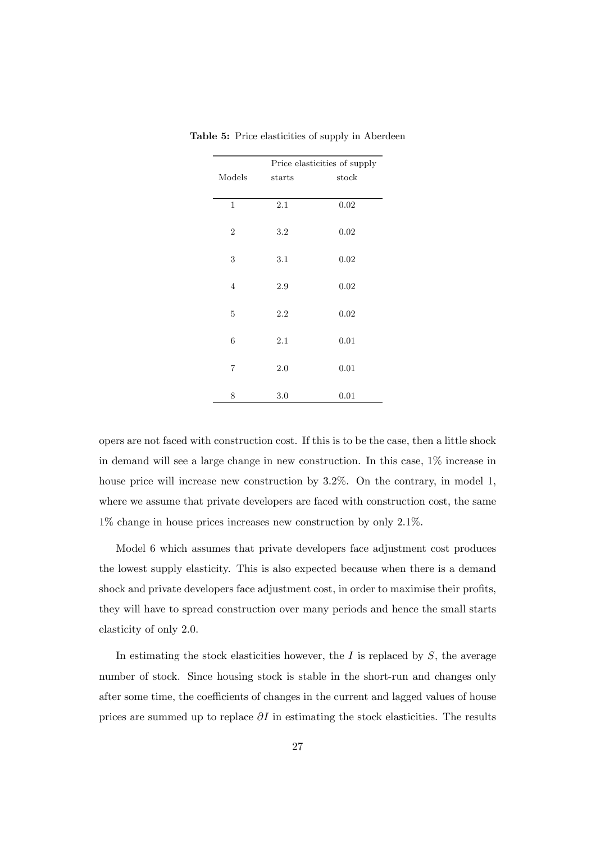|                |        | Price elasticities of supply |
|----------------|--------|------------------------------|
| Models         | starts | stock                        |
|                |        |                              |
| 1              | 2.1    | 0.02                         |
|                |        |                              |
| $\overline{2}$ | 3.2    | 0.02                         |
|                |        |                              |
|                |        |                              |
| 3              | 3.1    | 0.02                         |
|                |        |                              |
| $\overline{4}$ | 2.9    | 0.02                         |
|                |        |                              |
| $\overline{5}$ | 2.2    | 0.02                         |
|                |        |                              |
| 6              | 2.1    | 0.01                         |
|                |        |                              |
| 7              | 2.0    | 0.01                         |
|                |        |                              |
|                |        |                              |
| 8              | 3.0    | 0.01                         |

Table 5: Price elasticities of supply in Aberdeen

opers are not faced with construction cost. If this is to be the case, then a little shock in demand will see a large change in new construction. In this case, 1% increase in house price will increase new construction by 3.2%. On the contrary, in model 1, where we assume that private developers are faced with construction cost, the same 1% change in house prices increases new construction by only 2.1%.

Model 6 which assumes that private developers face adjustment cost produces the lowest supply elasticity. This is also expected because when there is a demand shock and private developers face adjustment cost, in order to maximise their profits, they will have to spread construction over many periods and hence the small starts elasticity of only 2.0.

In estimating the stock elasticities however, the  $I$  is replaced by  $S$ , the average number of stock. Since housing stock is stable in the short-run and changes only after some time, the coefficients of changes in the current and lagged values of house prices are summed up to replace  $\partial I$  in estimating the stock elasticities. The results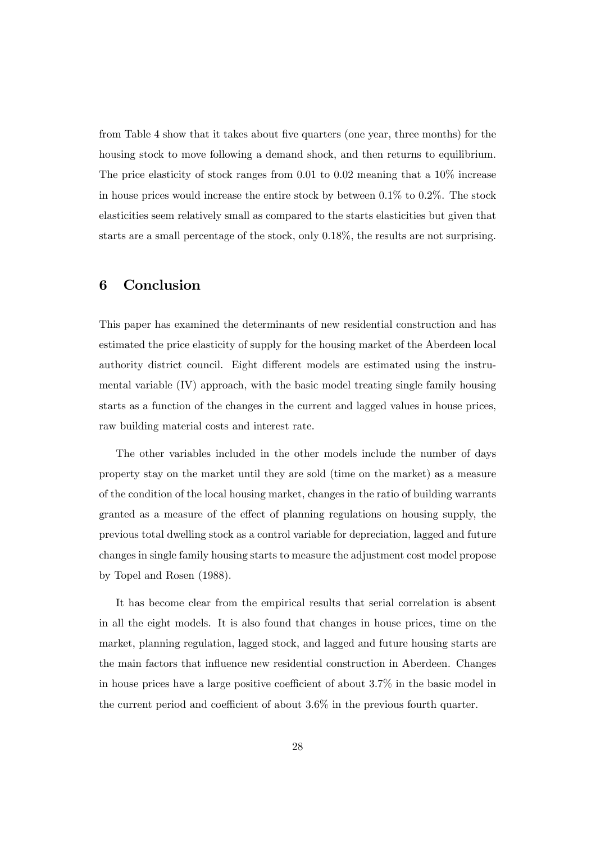from Table 4 show that it takes about five quarters (one year, three months) for the housing stock to move following a demand shock, and then returns to equilibrium. The price elasticity of stock ranges from 0.01 to 0.02 meaning that a 10% increase in house prices would increase the entire stock by between 0.1% to 0.2%. The stock elasticities seem relatively small as compared to the starts elasticities but given that starts are a small percentage of the stock, only 0.18%, the results are not surprising.

# 6 Conclusion

This paper has examined the determinants of new residential construction and has estimated the price elasticity of supply for the housing market of the Aberdeen local authority district council. Eight different models are estimated using the instrumental variable (IV) approach, with the basic model treating single family housing starts as a function of the changes in the current and lagged values in house prices, raw building material costs and interest rate.

The other variables included in the other models include the number of days property stay on the market until they are sold (time on the market) as a measure of the condition of the local housing market, changes in the ratio of building warrants granted as a measure of the effect of planning regulations on housing supply, the previous total dwelling stock as a control variable for depreciation, lagged and future changes in single family housing starts to measure the adjustment cost model propose by Topel and Rosen (1988).

It has become clear from the empirical results that serial correlation is absent in all the eight models. It is also found that changes in house prices, time on the market, planning regulation, lagged stock, and lagged and future housing starts are the main factors that influence new residential construction in Aberdeen. Changes in house prices have a large positive coefficient of about  $3.7\%$  in the basic model in the current period and coefficient of about  $3.6\%$  in the previous fourth quarter.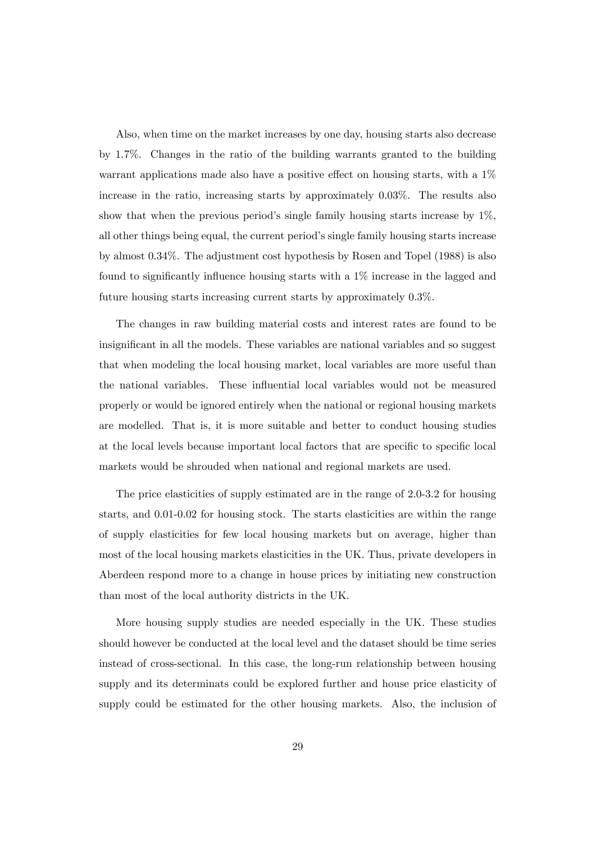Also, when time on the market increases by one day, housing starts also decrease by 1.7%. Changes in the ratio of the building warrants granted to the building warrant applications made also have a positive effect on housing starts, with a  $1\%$ increase in the ratio, increasing starts by approximately 0.03%. The results also show that when the previous period's single family housing starts increase by  $1\%$ , all other things being equal, the current period's single family housing starts increase by almost 0.34%. The adjustment cost hypothesis by Rosen and Topel (1988) is also found to significantly influence housing starts with a 1\% increase in the lagged and future housing starts increasing current starts by approximately 0.3%.

The changes in raw building material costs and interest rates are found to be insignificant in all the models. These variables are national variables and so suggest that when modeling the local housing market, local variables are more useful than the national variables. These influential local variables would not be measured properly or would be ignored entirely when the national or regional housing markets are modelled. That is, it is more suitable and better to conduct housing studies at the local levels because important local factors that are specific to specific local markets would be shrouded when national and regional markets are used.

The price elasticities of supply estimated are in the range of 2.0-3.2 for housing starts, and 0.01-0.02 for housing stock. The starts elasticities are within the range of supply elasticities for few local housing markets but on average, higher than most of the local housing markets elasticities in the UK. Thus, private developers in Aberdeen respond more to a change in house prices by initiating new construction than most of the local authority districts in the UK.

More housing supply studies are needed especially in the UK. These studies should however be conducted at the local level and the dataset should be time series instead of cross-sectional. In this case, the long-run relationship between housing supply and its determinats could be explored further and house price elasticity of supply could be estimated for the other housing markets. Also, the inclusion of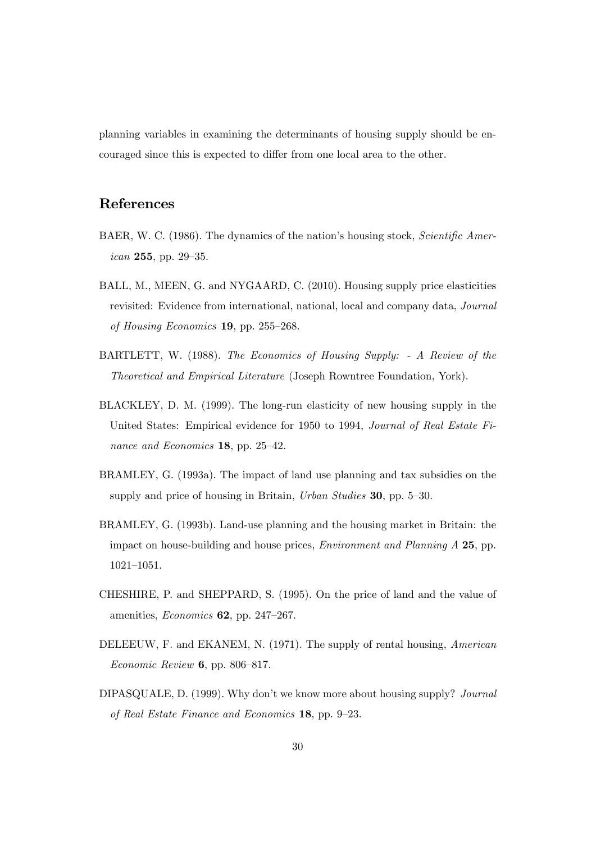planning variables in examining the determinants of housing supply should be encouraged since this is expected to differ from one local area to the other.

# References

- BAER, W. C. (1986). The dynamics of the nation's housing stock, Scientific American 255, pp. 29–35.
- BALL, M., MEEN, G. and NYGAARD, C. (2010). Housing supply price elasticities revisited: Evidence from international, national, local and company data, Journal of Housing Economics  $19$ , pp. 255–268.
- BARTLETT, W. (1988). The Economics of Housing Supply: A Review of the Theoretical and Empirical Literature (Joseph Rowntree Foundation, York).
- BLACKLEY, D. M. (1999). The long-run elasticity of new housing supply in the United States: Empirical evidence for 1950 to 1994, Journal of Real Estate Finance and Economics  $18$ , pp. 25–42.
- BRAMLEY, G. (1993a). The impact of land use planning and tax subsidies on the supply and price of housing in Britain, Urban Studies  $30$ , pp.  $5-30$ .
- BRAMLEY, G. (1993b). Land-use planning and the housing market in Britain: the impact on house-building and house prices, Environment and Planning A 25, pp.  $1021 - 1051.$
- CHESHIRE, P. and SHEPPARD, S. (1995). On the price of land and the value of amenities, *Economics* 62, pp. 247–267.
- DELEEUW, F. and EKANEM, N. (1971). The supply of rental housing, American Economic Review  $6$ , pp. 806–817.
- DIPASQUALE, D. (1999). Why don't we know more about housing supply? *Journal* of Real Estate Finance and Economics  $18$ , pp. 9–23.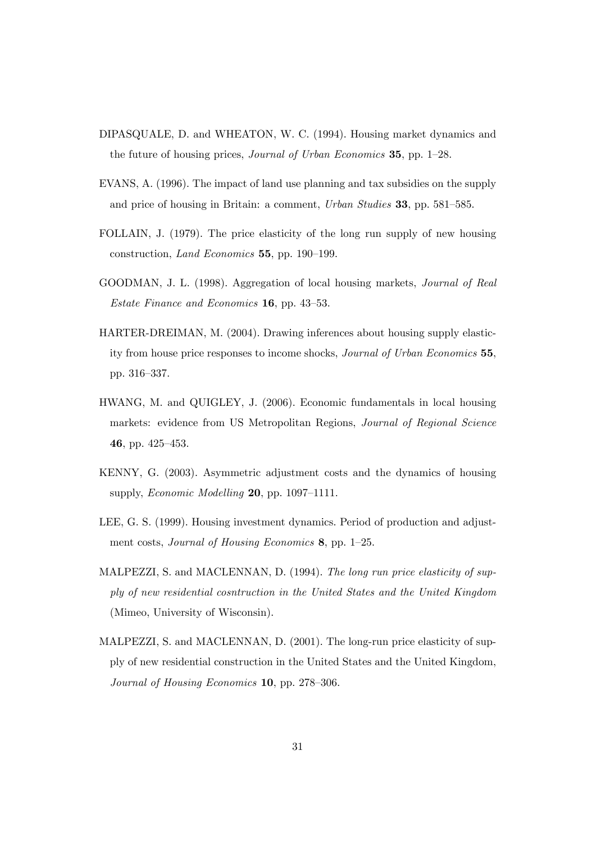- DIPASQUALE, D. and WHEATON, W. C. (1994). Housing market dynamics and the future of housing prices, *Journal of Urban Economics* 35, pp.  $1-28$ .
- EVANS, A. (1996). The impact of land use planning and tax subsidies on the supply and price of housing in Britain: a comment,  $Urban\ Studies$  33, pp. 581–585.
- FOLLAIN, J. (1979). The price elasticity of the long run supply of new housing construction, Land Economics  $55$ , pp. 190–199.
- GOODMAN, J. L. (1998). Aggregation of local housing markets, *Journal of Real* Estate Finance and Economics  $16$ , pp. 43–53.
- HARTER-DREIMAN, M. (2004). Drawing inferences about housing supply elasticity from house price responses to income shocks, Journal of Urban Economics 55, pp. 316–337.
- HWANG, M. and QUIGLEY, J. (2006). Economic fundamentals in local housing markets: evidence from US Metropolitan Regions, Journal of Regional Science 46, pp. 425-453.
- KENNY, G. (2003). Asymmetric adjustment costs and the dynamics of housing supply, *Economic Modelling* 20, pp. 1097–1111.
- LEE, G. S. (1999). Housing investment dynamics. Period of production and adjustment costs, *Journal of Housing Economics* 8, pp. 1–25.
- MALPEZZI, S. and MACLENNAN, D. (1994). The long run price elasticity of supply of new residential cosntruction in the United States and the United Kingdom (Mimeo, University of Wisconsin).
- MALPEZZI, S. and MACLENNAN, D. (2001). The long-run price elasticity of supply of new residential construction in the United States and the United Kingdom, Journal of Housing Economics 10, pp. 278-306.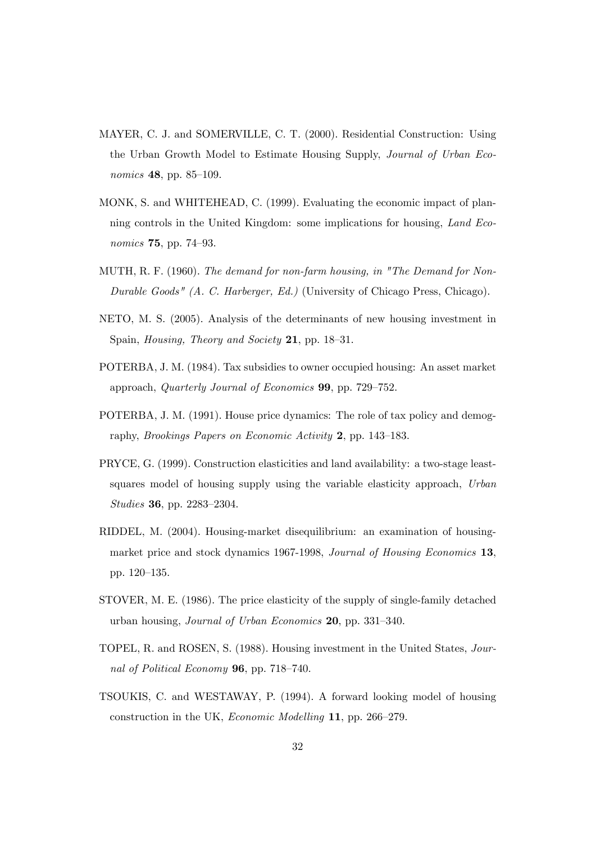- MAYER, C. J. and SOMERVILLE, C. T. (2000). Residential Construction: Using the Urban Growth Model to Estimate Housing Supply, Journal of Urban Eco*nomics* 48, pp. 85–109.
- MONK, S. and WHITEHEAD, C. (1999). Evaluating the economic impact of planning controls in the United Kingdom: some implications for housing, Land Eco*nomics* **75**, pp. 74–93.
- MUTH, R. F. (1960). The demand for non-farm housing, in "The Demand for Non-Durable Goods" (A. C. Harberger, Ed.) (University of Chicago Press, Chicago).
- NETO, M. S. (2005). Analysis of the determinants of new housing investment in Spain, Housing, Theory and Society  $21$ , pp. 18–31.
- POTERBA, J. M. (1984). Tax subsidies to owner occupied housing: An asset market approach, Quarterly Journal of Economics 99, pp. 729–752.
- POTERBA, J. M. (1991). House price dynamics: The role of tax policy and demography, *Brookings Papers on Economic Activity* 2, pp.  $143-183$ .
- PRYCE, G. (1999). Construction elasticities and land availability: a two-stage leastsquares model of housing supply using the variable elasticity approach, Urban Studies 36, pp. 2283–2304.
- RIDDEL, M. (2004). Housing-market disequilibrium: an examination of housingmarket price and stock dynamics 1967-1998, Journal of Housing Economics 13, pp. 120–135.
- STOVER, M. E. (1986). The price elasticity of the supply of single-family detached urban housing, *Journal of Urban Economics* 20, pp. 331-340.
- TOPEL, R. and ROSEN, S. (1988). Housing investment in the United States, Journal of Political Economy  $96$ , pp. 718–740.
- TSOUKIS, C. and WESTAWAY, P. (1994). A forward looking model of housing construction in the UK, *Economic Modelling* 11, pp. 266–279.